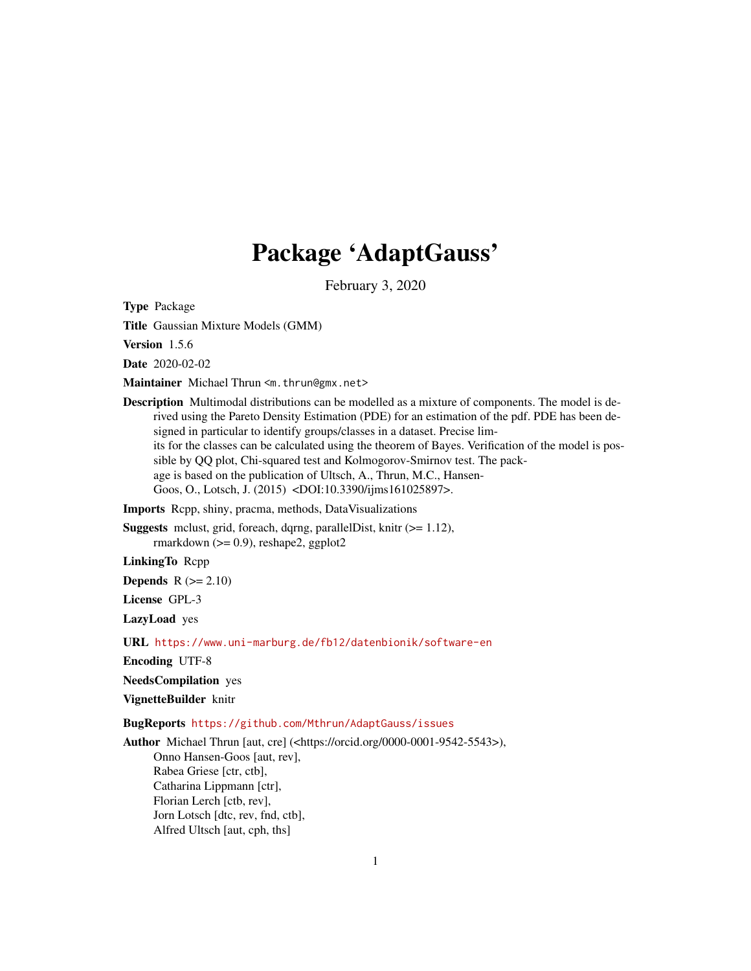# Package 'AdaptGauss'

February 3, 2020

<span id="page-0-0"></span>Type Package

Title Gaussian Mixture Models (GMM)

Version 1.5.6

Date 2020-02-02

Maintainer Michael Thrun <m.thrun@gmx.net>

Description Multimodal distributions can be modelled as a mixture of components. The model is derived using the Pareto Density Estimation (PDE) for an estimation of the pdf. PDE has been designed in particular to identify groups/classes in a dataset. Precise limits for the classes can be calculated using the theorem of Bayes. Verification of the model is possible by QQ plot, Chi-squared test and Kolmogorov-Smirnov test. The package is based on the publication of Ultsch, A., Thrun, M.C., Hansen-Goos, O., Lotsch, J. (2015) <DOI:10.3390/ijms161025897>.

Imports Rcpp, shiny, pracma, methods, DataVisualizations

Suggests mclust, grid, foreach, dqrng, parallelDist, knitr (>= 1.12), rmarkdown  $(>= 0.9)$ , reshape2, ggplot2

LinkingTo Rcpp

Depends  $R (= 2.10)$ 

License GPL-3

LazyLoad yes

URL <https://www.uni-marburg.de/fb12/datenbionik/software-en>

Encoding UTF-8

NeedsCompilation yes

VignetteBuilder knitr

BugReports <https://github.com/Mthrun/AdaptGauss/issues>

Author Michael Thrun [aut, cre] (<https://orcid.org/0000-0001-9542-5543>), Onno Hansen-Goos [aut, rev], Rabea Griese [ctr, ctb], Catharina Lippmann [ctr], Florian Lerch [ctb, rev], Jorn Lotsch [dtc, rev, fnd, ctb], Alfred Ultsch [aut, cph, ths]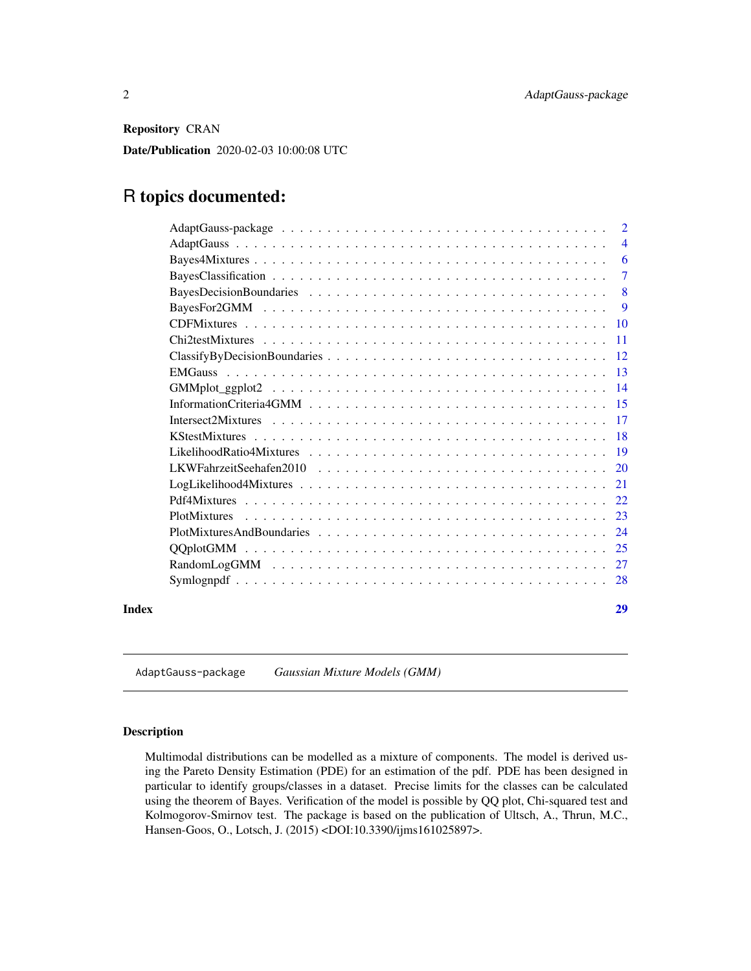<span id="page-1-0"></span>Repository CRAN

Date/Publication 2020-02-03 10:00:08 UTC

# R topics documented:

|       | $\overline{2}$ |
|-------|----------------|
|       | $\overline{4}$ |
|       |                |
|       | $\tau$         |
|       |                |
|       | - 9            |
|       |                |
|       |                |
|       |                |
|       |                |
|       |                |
|       |                |
|       |                |
|       |                |
|       |                |
|       |                |
|       |                |
|       |                |
|       |                |
|       |                |
|       |                |
|       |                |
|       |                |
| Index | 29             |
|       |                |

AdaptGauss-package *Gaussian Mixture Models (GMM)*

# Description

Multimodal distributions can be modelled as a mixture of components. The model is derived using the Pareto Density Estimation (PDE) for an estimation of the pdf. PDE has been designed in particular to identify groups/classes in a dataset. Precise limits for the classes can be calculated using the theorem of Bayes. Verification of the model is possible by QQ plot, Chi-squared test and Kolmogorov-Smirnov test. The package is based on the publication of Ultsch, A., Thrun, M.C., Hansen-Goos, O., Lotsch, J. (2015) <DOI:10.3390/ijms161025897>.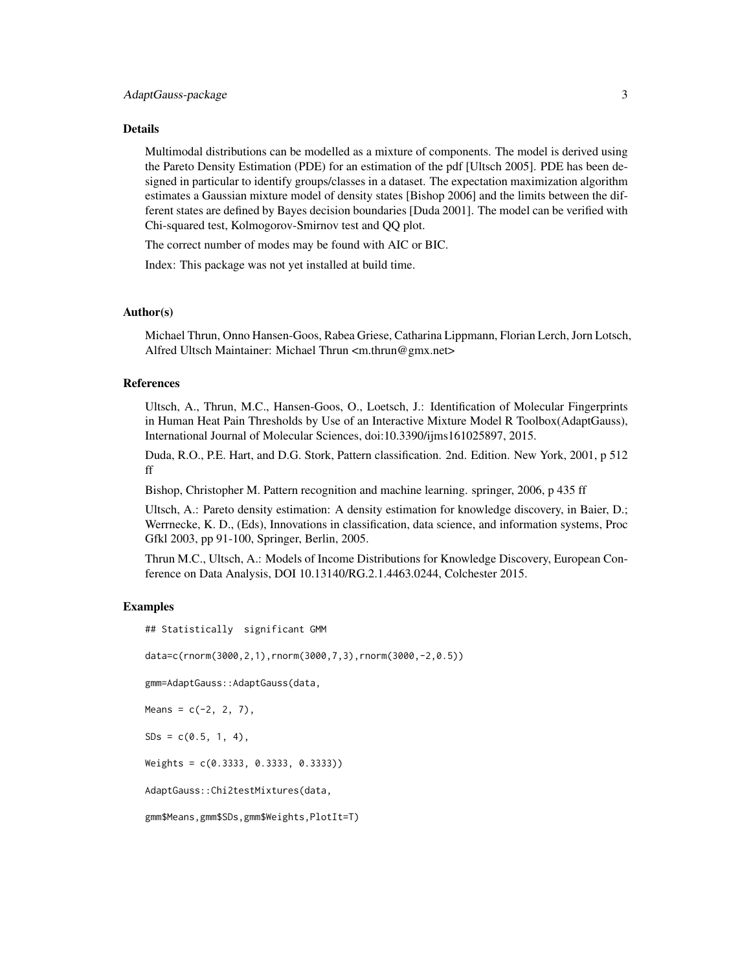#### Details

Multimodal distributions can be modelled as a mixture of components. The model is derived using the Pareto Density Estimation (PDE) for an estimation of the pdf [Ultsch 2005]. PDE has been designed in particular to identify groups/classes in a dataset. The expectation maximization algorithm estimates a Gaussian mixture model of density states [Bishop 2006] and the limits between the different states are defined by Bayes decision boundaries [Duda 2001]. The model can be verified with Chi-squared test, Kolmogorov-Smirnov test and QQ plot.

The correct number of modes may be found with AIC or BIC.

Index: This package was not yet installed at build time.

#### Author(s)

Michael Thrun, Onno Hansen-Goos, Rabea Griese, Catharina Lippmann, Florian Lerch, Jorn Lotsch, Alfred Ultsch Maintainer: Michael Thrun <m.thrun@gmx.net>

# References

Ultsch, A., Thrun, M.C., Hansen-Goos, O., Loetsch, J.: Identification of Molecular Fingerprints in Human Heat Pain Thresholds by Use of an Interactive Mixture Model R Toolbox(AdaptGauss), International Journal of Molecular Sciences, doi:10.3390/ijms161025897, 2015.

Duda, R.O., P.E. Hart, and D.G. Stork, Pattern classification. 2nd. Edition. New York, 2001, p 512 ff

Bishop, Christopher M. Pattern recognition and machine learning. springer, 2006, p 435 ff

Ultsch, A.: Pareto density estimation: A density estimation for knowledge discovery, in Baier, D.; Werrnecke, K. D., (Eds), Innovations in classification, data science, and information systems, Proc Gfkl 2003, pp 91-100, Springer, Berlin, 2005.

Thrun M.C., Ultsch, A.: Models of Income Distributions for Knowledge Discovery, European Conference on Data Analysis, DOI 10.13140/RG.2.1.4463.0244, Colchester 2015.

#### Examples

## Statistically significant GMM

data=c(rnorm(3000,2,1),rnorm(3000,7,3),rnorm(3000,-2,0.5))

gmm=AdaptGauss::AdaptGauss(data,

Means =  $c(-2, 2, 7)$ ,

 $SDs = c(0.5, 1, 4),$ 

Weights = c(0.3333, 0.3333, 0.3333))

AdaptGauss::Chi2testMixtures(data,

```
gmm$Means,gmm$SDs,gmm$Weights,PlotIt=T)
```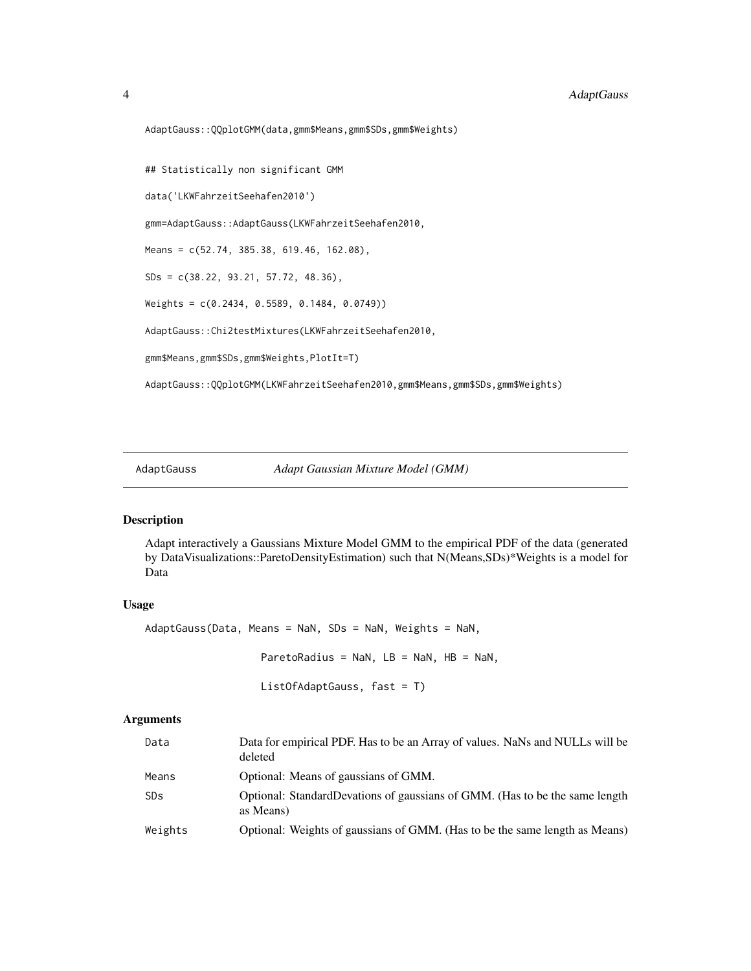```
AdaptGauss::QQplotGMM(data,gmm$Means,gmm$SDs,gmm$Weights)
## Statistically non significant GMM
data('LKWFahrzeitSeehafen2010')
gmm=AdaptGauss::AdaptGauss(LKWFahrzeitSeehafen2010,
Means = c(52.74, 385.38, 619.46, 162.08),
SDs = c(38.22, 93.21, 57.72, 48.36),
Weights = c(0.2434, 0.5589, 0.1484, 0.0749))
```
AdaptGauss::Chi2testMixtures(LKWFahrzeitSeehafen2010,

gmm\$Means,gmm\$SDs,gmm\$Weights,PlotIt=T)

AdaptGauss::QQplotGMM(LKWFahrzeitSeehafen2010,gmm\$Means,gmm\$SDs,gmm\$Weights)

<span id="page-3-1"></span>AdaptGauss *Adapt Gaussian Mixture Model (GMM)*

#### Description

Adapt interactively a Gaussians Mixture Model GMM to the empirical PDF of the data (generated by DataVisualizations::ParetoDensityEstimation) such that N(Means,SDs)\*Weights is a model for Data

# Usage

```
AdaptGauss(Data, Means = NaN, SDs = NaN, Weights = NaN,
                   ParetoRadius = NAN, LB = NAN, HB = NAN,
```
ListOfAdaptGauss, fast = T)

| Data    | Data for empirical PDF. Has to be an Array of values. NaNs and NULLs will be<br>deleted  |
|---------|------------------------------------------------------------------------------------------|
| Means   | Optional: Means of gaussians of GMM.                                                     |
| SDs     | Optional: StandardDevations of gaussians of GMM. (Has to be the same length<br>as Means) |
| Weights | Optional: Weights of gaussians of GMM. (Has to be the same length as Means)              |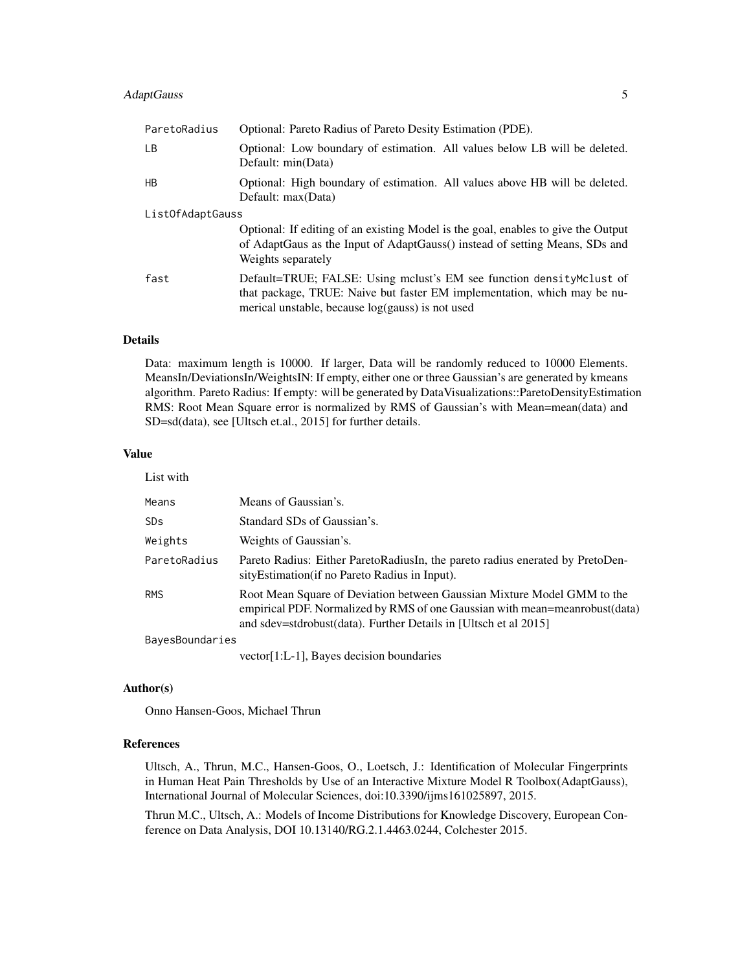# AdaptGauss 5

| ParetoRadius     | Optional: Pareto Radius of Pareto Desity Estimation (PDE).                                                                                                                                            |  |
|------------------|-------------------------------------------------------------------------------------------------------------------------------------------------------------------------------------------------------|--|
| LB.              | Optional: Low boundary of estimation. All values below LB will be deleted.<br>Default: min(Data)                                                                                                      |  |
| HB               | Optional: High boundary of estimation. All values above HB will be deleted.<br>Default: max(Data)                                                                                                     |  |
| ListOfAdaptGauss |                                                                                                                                                                                                       |  |
|                  | Optional: If editing of an existing Model is the goal, enables to give the Output<br>of AdaptGaus as the Input of AdaptGauss() instead of setting Means, SDs and<br>Weights separately                |  |
| fast             | Default=TRUE; FALSE: Using mclust's EM see function density Mclust of<br>that package, TRUE: Naive but faster EM implementation, which may be nu-<br>merical unstable, because log(gauss) is not used |  |

#### Details

Data: maximum length is 10000. If larger, Data will be randomly reduced to 10000 Elements. MeansIn/DeviationsIn/WeightsIN: If empty, either one or three Gaussian's are generated by kmeans algorithm. Pareto Radius: If empty: will be generated by DataVisualizations::ParetoDensityEstimation RMS: Root Mean Square error is normalized by RMS of Gaussian's with Mean=mean(data) and SD=sd(data), see [Ultsch et.al., 2015] for further details.

#### Value

| List with             |                                                                                                                                                                                                                            |
|-----------------------|----------------------------------------------------------------------------------------------------------------------------------------------------------------------------------------------------------------------------|
| Means                 | Means of Gaussian's.                                                                                                                                                                                                       |
| <b>SD<sub>S</sub></b> | Standard SDs of Gaussian's.                                                                                                                                                                                                |
| Weights               | Weights of Gaussian's.                                                                                                                                                                                                     |
| ParetoRadius          | Pareto Radius: Either ParetoRadiusIn, the pareto radius enerated by PretoDen-<br>sity Estimation (if no Pareto Radius in Input).                                                                                           |
| <b>RMS</b>            | Root Mean Square of Deviation between Gaussian Mixture Model GMM to the<br>empirical PDF. Normalized by RMS of one Gaussian with mean=meanrobust(data)<br>and sdev=stdrobust(data). Further Details in [Ultsch et al 2015] |
| BayesBoundaries       |                                                                                                                                                                                                                            |
|                       | vector[1:L-1], Bayes decision boundaries                                                                                                                                                                                   |

#### Author(s)

Onno Hansen-Goos, Michael Thrun

#### References

Ultsch, A., Thrun, M.C., Hansen-Goos, O., Loetsch, J.: Identification of Molecular Fingerprints in Human Heat Pain Thresholds by Use of an Interactive Mixture Model R Toolbox(AdaptGauss), International Journal of Molecular Sciences, doi:10.3390/ijms161025897, 2015.

Thrun M.C., Ultsch, A.: Models of Income Distributions for Knowledge Discovery, European Conference on Data Analysis, DOI 10.13140/RG.2.1.4463.0244, Colchester 2015.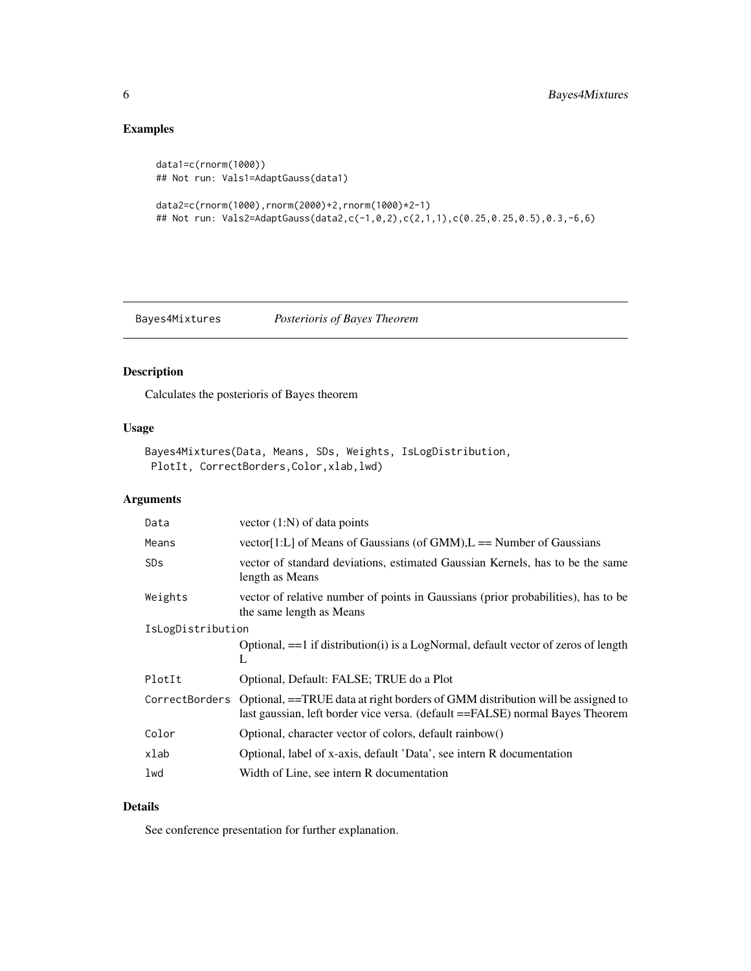# Examples

```
data1=c(rnorm(1000))
## Not run: Vals1=AdaptGauss(data1)
```

```
data2=c(rnorm(1000),rnorm(2000)+2,rnorm(1000)*2-1)
## Not run: Vals2=AdaptGauss(data2,c(-1,0,2),c(2,1,1),c(0.25,0.25,0.5),0.3,-6,6)
```
<span id="page-5-1"></span>Bayes4Mixtures *Posterioris of Bayes Theorem*

# Description

Calculates the posterioris of Bayes theorem

# Usage

```
Bayes4Mixtures(Data, Means, SDs, Weights, IsLogDistribution,
PlotIt, CorrectBorders, Color, xlab, lwd)
```
# Arguments

| Data                  | vector $(1:N)$ of data points                                                                                                                                   |
|-----------------------|-----------------------------------------------------------------------------------------------------------------------------------------------------------------|
| Means                 | vector[1:L] of Means of Gaussians (of GMM), $L =$ Number of Gaussians                                                                                           |
| <b>SD<sub>S</sub></b> | vector of standard deviations, estimated Gaussian Kernels, has to be the same<br>length as Means                                                                |
| Weights               | vector of relative number of points in Gaussians (prior probabilities), has to be<br>the same length as Means                                                   |
| IsLogDistribution     |                                                                                                                                                                 |
|                       | Optional, $==1$ if distribution(i) is a LogNormal, default vector of zeros of length<br>L                                                                       |
| PlotIt                | Optional, Default: FALSE; TRUE do a Plot                                                                                                                        |
| CorrectBorders        | Optional, ==TRUE data at right borders of GMM distribution will be assigned to<br>last gaussian, left border vice versa. (default ==FALSE) normal Bayes Theorem |
| Color                 | Optional, character vector of colors, default rainbow()                                                                                                         |
| xlab                  | Optional, label of x-axis, default 'Data', see intern R documentation                                                                                           |
| lwd                   | Width of Line, see intern R documentation                                                                                                                       |

# Details

See conference presentation for further explanation.

<span id="page-5-0"></span>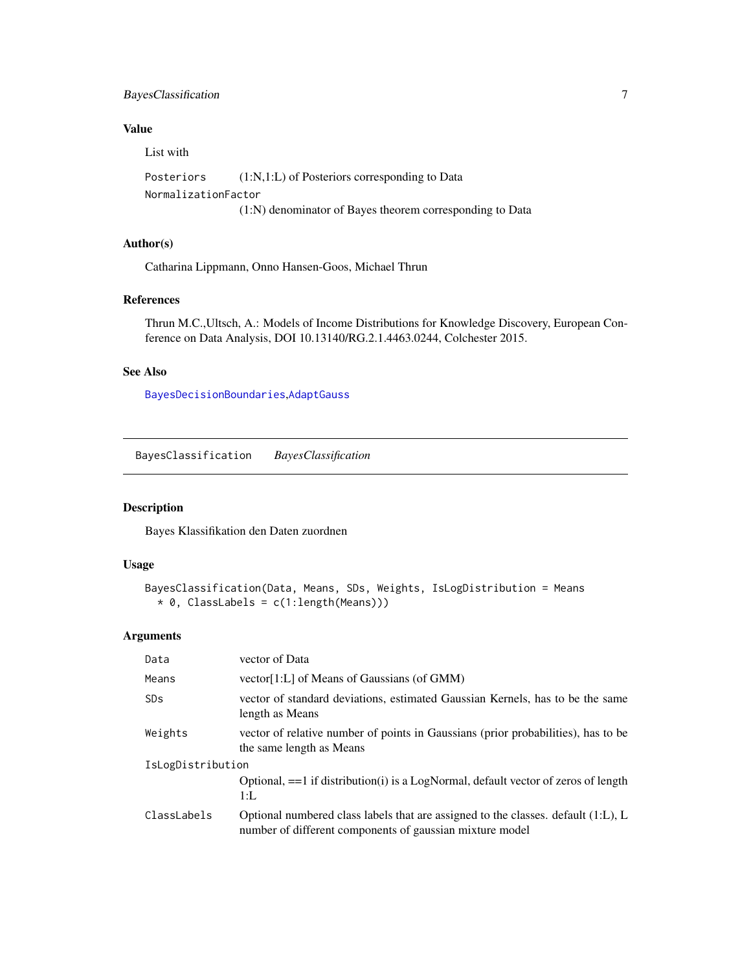# <span id="page-6-0"></span>BayesClassification 7

# Value

List with

```
Posteriors (1:N,1:L) of Posteriors corresponding to Data
NormalizationFactor
                 (1:N) denominator of Bayes theorem corresponding to Data
```
# Author(s)

Catharina Lippmann, Onno Hansen-Goos, Michael Thrun

#### References

Thrun M.C.,Ultsch, A.: Models of Income Distributions for Knowledge Discovery, European Conference on Data Analysis, DOI 10.13140/RG.2.1.4463.0244, Colchester 2015.

# See Also

[BayesDecisionBoundaries](#page-7-1),[AdaptGauss](#page-3-1)

BayesClassification *BayesClassification*

#### Description

Bayes Klassifikation den Daten zuordnen

#### Usage

```
BayesClassification(Data, Means, SDs, Weights, IsLogDistribution = Means
  * 0, ClassLabels = c(1:length(Means)))
```

| Data              | vector of Data                                                                                                                                |  |
|-------------------|-----------------------------------------------------------------------------------------------------------------------------------------------|--|
| Means             | vector[1:L] of Means of Gaussians (of GMM)                                                                                                    |  |
| SD <sub>S</sub>   | vector of standard deviations, estimated Gaussian Kernels, has to be the same<br>length as Means                                              |  |
| Weights           | vector of relative number of points in Gaussians (prior probabilities), has to be<br>the same length as Means                                 |  |
| IsLogDistribution |                                                                                                                                               |  |
|                   | Optional, == 1 if distribution(i) is a LogNormal, default vector of zeros of length<br>$1:$ L                                                 |  |
| ClassLabels       | Optional numbered class labels that are assigned to the classes. default (1:L), L<br>number of different components of gaussian mixture model |  |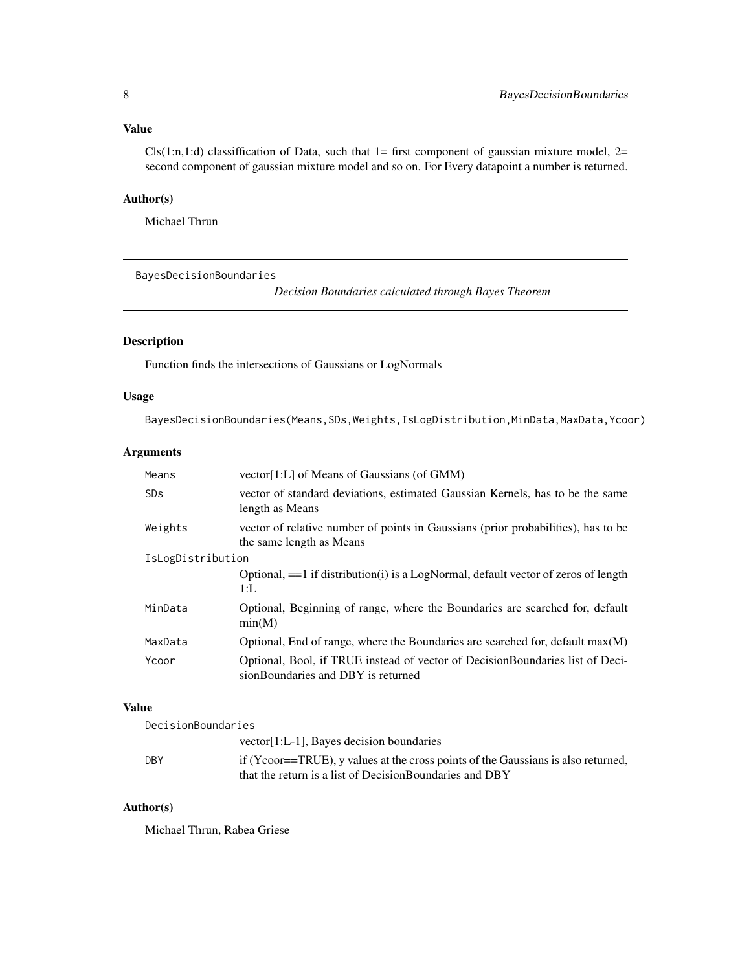# <span id="page-7-0"></span>Value

 $Cls(1:n,1:d)$  classiffication of Data, such that 1= first component of gaussian mixture model, 2= second component of gaussian mixture model and so on. For Every datapoint a number is returned.

# Author(s)

Michael Thrun

<span id="page-7-1"></span>BayesDecisionBoundaries

*Decision Boundaries calculated through Bayes Theorem*

# Description

Function finds the intersections of Gaussians or LogNormals

# Usage

BayesDecisionBoundaries(Means, SDs, Weights, IsLogDistribution, MinData, MaxData, Ycoor)

# Arguments

| Means                 | vector[1:L] of Means of Gaussians (of GMM)                                                                          |
|-----------------------|---------------------------------------------------------------------------------------------------------------------|
| <b>SD<sub>S</sub></b> | vector of standard deviations, estimated Gaussian Kernels, has to be the same<br>length as Means                    |
| Weights               | vector of relative number of points in Gaussians (prior probabilities), has to be<br>the same length as Means       |
| IsLogDistribution     |                                                                                                                     |
|                       | Optional, $==1$ if distribution(i) is a LogNormal, default vector of zeros of length<br>1:                          |
| MinData               | Optional, Beginning of range, where the Boundaries are searched for, default<br>min(M)                              |
| MaxData               | Optional, End of range, where the Boundaries are searched for, default $max(M)$                                     |
| Ycoor                 | Optional, Bool, if TRUE instead of vector of DecisionBoundaries list of Deci-<br>sionBoundaries and DBY is returned |

# Value

| DecisionBoundaries |                                                                                   |
|--------------------|-----------------------------------------------------------------------------------|
|                    | vector[1:L-1], Bayes decision boundaries                                          |
| <b>DBY</b>         | if (Ycoor==TRUE), y values at the cross points of the Gaussians is also returned, |
|                    | that the return is a list of Decision Boundaries and DBY                          |

# Author(s)

Michael Thrun, Rabea Griese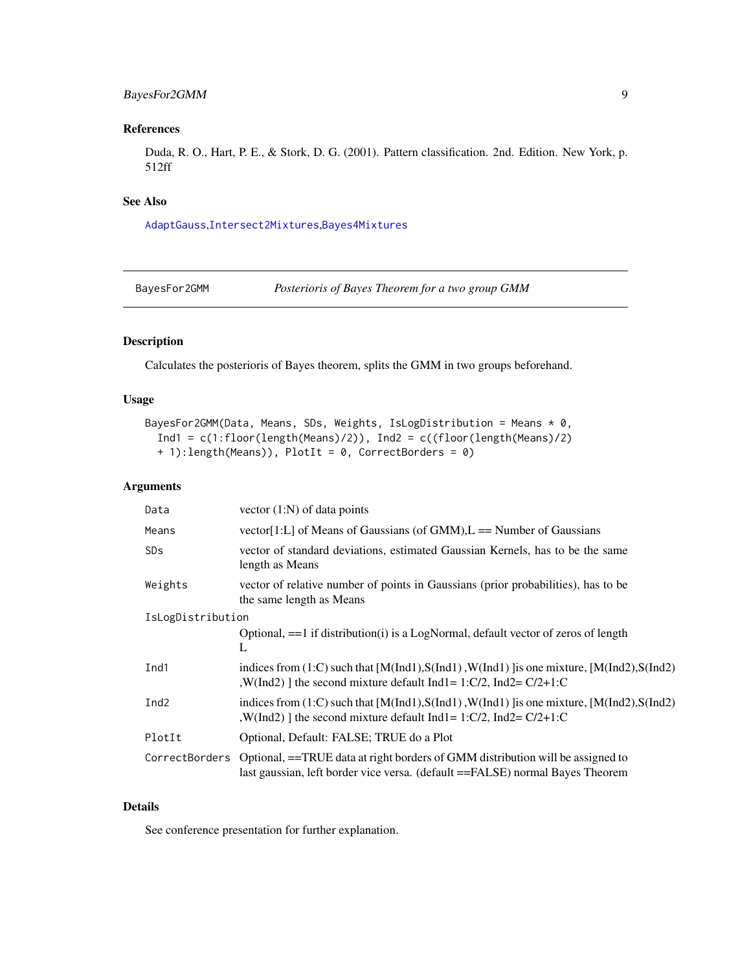# <span id="page-8-0"></span>BayesFor2GMM 9

# References

Duda, R. O., Hart, P. E., & Stork, D. G. (2001). Pattern classification. 2nd. Edition. New York, p. 512ff

#### See Also

[AdaptGauss](#page-3-1),[Intersect2Mixtures](#page-16-1),[Bayes4Mixtures](#page-5-1)

BayesFor2GMM *Posterioris of Bayes Theorem for a two group GMM*

# Description

Calculates the posterioris of Bayes theorem, splits the GMM in two groups beforehand.

# Usage

```
BayesFor2GMM(Data, Means, SDs, Weights, IsLogDistribution = Means * 0,
  Ind1 = c(1:floor(length(Means)/2)), Ind2 = c((floor(length(Means)/2))+ 1):length(Means)), PlotIt = 0, CorrectBorders = 0)
```
# Arguments

| Data                  | vector $(1:N)$ of data points                                                                                                                                            |
|-----------------------|--------------------------------------------------------------------------------------------------------------------------------------------------------------------------|
| Means                 | vector[1:L] of Means of Gaussians (of GMM), $L =$ Number of Gaussians                                                                                                    |
| <b>SD<sub>S</sub></b> | vector of standard deviations, estimated Gaussian Kernels, has to be the same<br>length as Means                                                                         |
| Weights               | vector of relative number of points in Gaussians (prior probabilities), has to be<br>the same length as Means                                                            |
| IsLogDistribution     |                                                                                                                                                                          |
|                       | Optional, $==1$ if distribution(i) is a LogNormal, default vector of zeros of length<br>L                                                                                |
| Ind1                  | indices from $(1:C)$ such that $[M(Ind1),S(Ind1),W(Ind1)]$ is one mixture, $[M(Ind2),S(Ind2)]$<br>, W(Ind2) 1 the second mixture default Ind1 = 1:C/2, Ind2 = $C/2+1$ :C |
| Ind <sub>2</sub>      | indices from $(1:C)$ such that $[M(Ind1),S(Ind1),W(Ind1)]$ is one mixture, $[M(Ind2),S(Ind2)]$<br>, W(Ind2) 1 the second mixture default Ind1 = 1:C/2, Ind2 = $C/2+1$ :C |
| PlotIt                | Optional, Default: FALSE; TRUE do a Plot                                                                                                                                 |
| CorrectBorders        | Optional, ==TRUE data at right borders of GMM distribution will be assigned to<br>last gaussian, left border vice versa. (default ==FALSE) normal Bayes Theorem          |

# Details

See conference presentation for further explanation.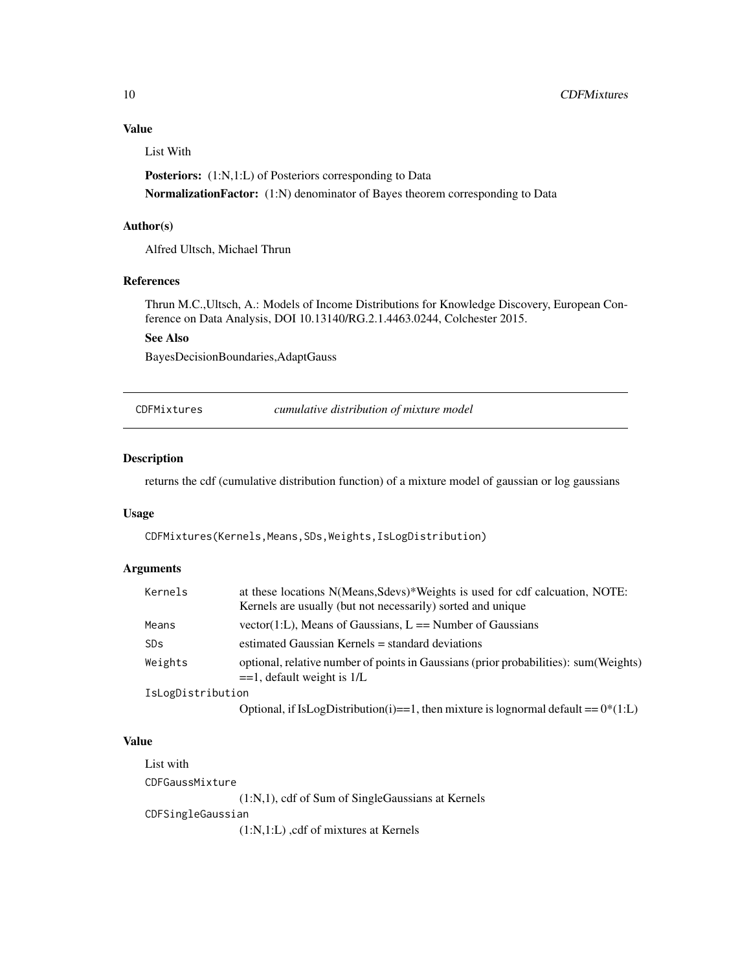# Value

List With

Posteriors: (1:N,1:L) of Posteriors corresponding to Data NormalizationFactor: (1:N) denominator of Bayes theorem corresponding to Data

#### Author(s)

Alfred Ultsch, Michael Thrun

#### References

Thrun M.C.,Ultsch, A.: Models of Income Distributions for Knowledge Discovery, European Conference on Data Analysis, DOI 10.13140/RG.2.1.4463.0244, Colchester 2015.

#### See Also

BayesDecisionBoundaries,AdaptGauss

CDFMixtures *cumulative distribution of mixture model*

#### Description

returns the cdf (cumulative distribution function) of a mixture model of gaussian or log gaussians

#### Usage

CDFMixtures(Kernels,Means,SDs,Weights,IsLogDistribution)

#### Arguments

| Kernels               | at these locations N(Means, Sdevs)*Weights is used for cdf calcuation, NOTE:<br>Kernels are usually (but not necessarily) sorted and unique |
|-----------------------|---------------------------------------------------------------------------------------------------------------------------------------------|
| Means                 | vector(1:L), Means of Gaussians, $L ==$ Number of Gaussians                                                                                 |
| <b>SD<sub>S</sub></b> | estimated Gaussian Kernels = standard deviations                                                                                            |
| Weights               | optional, relative number of points in Gaussians (prior probabilities): sum (Weights)<br>$=$ 1, default weight is 1/L                       |
| IsLogDistribution     |                                                                                                                                             |
|                       | Optional, if IsLogDistribution(i)==1, then mixture is lognormal default == $0*(1:L)$                                                        |

#### Value

List with CDFGaussMixture (1:N,1), cdf of Sum of SingleGaussians at Kernels CDFSingleGaussian (1:N,1:L) ,cdf of mixtures at Kernels

<span id="page-9-0"></span>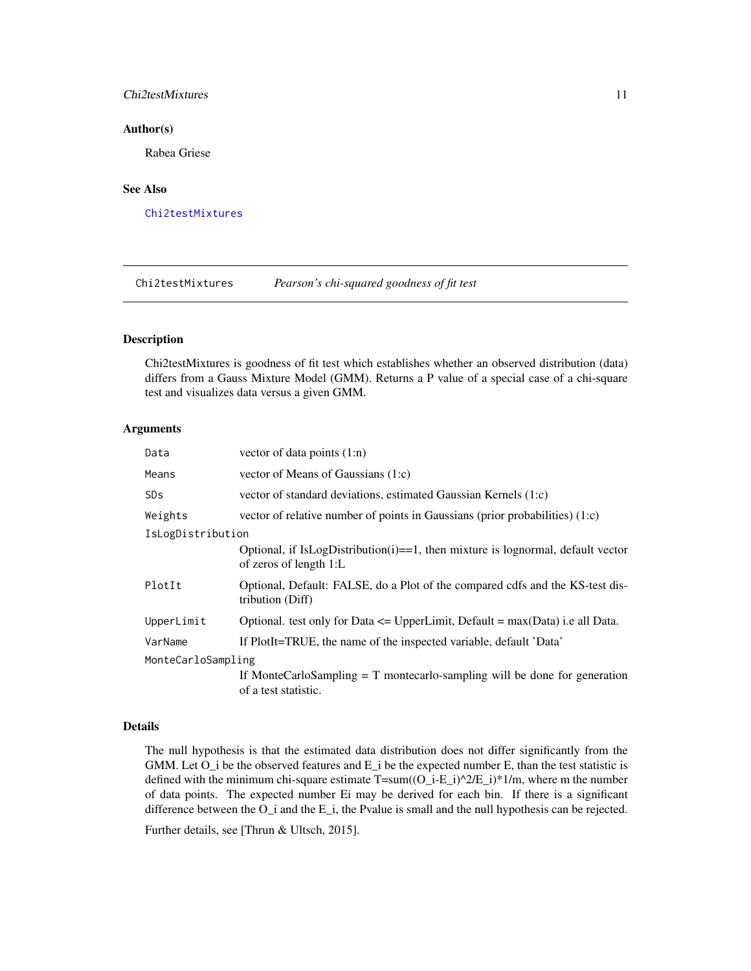#### <span id="page-10-0"></span>Chi2testMixtures 11

#### Author(s)

Rabea Griese

# See Also

[Chi2testMixtures](#page-10-1)

<span id="page-10-1"></span>Chi2testMixtures *Pearson's chi-squared goodness of fit test*

#### Description

Chi2testMixtures is goodness of fit test which establishes whether an observed distribution (data) differs from a Gauss Mixture Model (GMM). Returns a P value of a special case of a chi-square test and visualizes data versus a given GMM.

#### Arguments

| Data                  | vector of data points $(1:n)$                                                                             |
|-----------------------|-----------------------------------------------------------------------------------------------------------|
| Means                 | vector of Means of Gaussians (1:c)                                                                        |
| <b>SD<sub>S</sub></b> | vector of standard deviations, estimated Gaussian Kernels (1:c)                                           |
| Weights               | vector of relative number of points in Gaussians (prior probabilities) $(1,c)$                            |
| IsLogDistribution     |                                                                                                           |
|                       | Optional, if IsLogDistribution(i)==1, then mixture is lognormal, default vector<br>of zeros of length 1:L |
| PlotIt                | Optional, Default: FALSE, do a Plot of the compared cdfs and the KS-test dis-<br>tribution (Diff)         |
| UpperLimit            | Optional. test only for Data $\leq$ UpperLimit, Default = max(Data) i.e all Data.                         |
| VarName               | If PlotIt=TRUE, the name of the inspected variable, default 'Data'                                        |
| MonteCarloSampling    |                                                                                                           |
|                       | If MonteCarloSampling $= T$ montecarlo-sampling will be done for generation<br>of a test statistic.       |

#### Details

The null hypothesis is that the estimated data distribution does not differ significantly from the GMM. Let  $O_i$  be the observed features and  $E_i$  be the expected number E, than the test statistic is defined with the minimum chi-square estimate  $T=sum((O_i-i-E_i)^2/2/E_i)^*1/m$ , where m the number of data points. The expected number Ei may be derived for each bin. If there is a significant difference between the  $O_i$  and the  $E_i$ , the Pvalue is small and the null hypothesis can be rejected.

Further details, see [Thrun & Ultsch, 2015].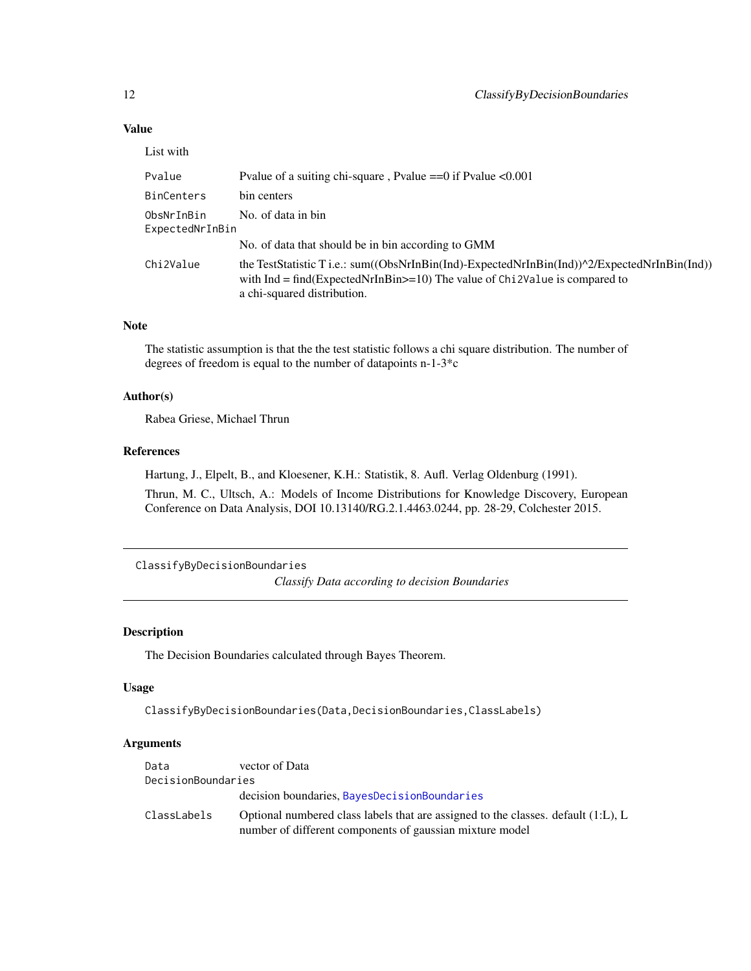# Value

| List with                     |                                                                                                                                                                                                               |
|-------------------------------|---------------------------------------------------------------------------------------------------------------------------------------------------------------------------------------------------------------|
| Pvalue                        | Pvalue of a suiting chi-square, Pvalue $==0$ if Pvalue $< 0.001$                                                                                                                                              |
| <b>BinCenters</b>             | bin centers                                                                                                                                                                                                   |
| ObsNrInBin<br>ExpectedNrInBin | No. of data in bin                                                                                                                                                                                            |
|                               | No. of data that should be in bin according to GMM                                                                                                                                                            |
| Chi2Value                     | the TestStatistic T i.e.: sum((ObsNrInBin(Ind)-ExpectedNrInBin(Ind))^2/ExpectedNrInBin(Ind))<br>with $Ind = find(ExpectedNrInBin = 10)$ The value of Chi 2Value is compared to<br>a chi-squared distribution. |

#### Note

The statistic assumption is that the the test statistic follows a chi square distribution. The number of degrees of freedom is equal to the number of datapoints n-1-3\*c

#### Author(s)

Rabea Griese, Michael Thrun

#### References

Hartung, J., Elpelt, B., and Kloesener, K.H.: Statistik, 8. Aufl. Verlag Oldenburg (1991).

Thrun, M. C., Ultsch, A.: Models of Income Distributions for Knowledge Discovery, European Conference on Data Analysis, DOI 10.13140/RG.2.1.4463.0244, pp. 28-29, Colchester 2015.

ClassifyByDecisionBoundaries

*Classify Data according to decision Boundaries*

#### Description

The Decision Boundaries calculated through Bayes Theorem.

# Usage

ClassifyByDecisionBoundaries(Data,DecisionBoundaries,ClassLabels)

| Data               | vector of Data                                                                                                                                   |
|--------------------|--------------------------------------------------------------------------------------------------------------------------------------------------|
| DecisionBoundaries |                                                                                                                                                  |
|                    | decision boundaries, BayesDecisionBoundaries                                                                                                     |
| ClassLabels        | Optional numbered class labels that are assigned to the classes. default $(1:L)$ , L<br>number of different components of gaussian mixture model |

<span id="page-11-0"></span>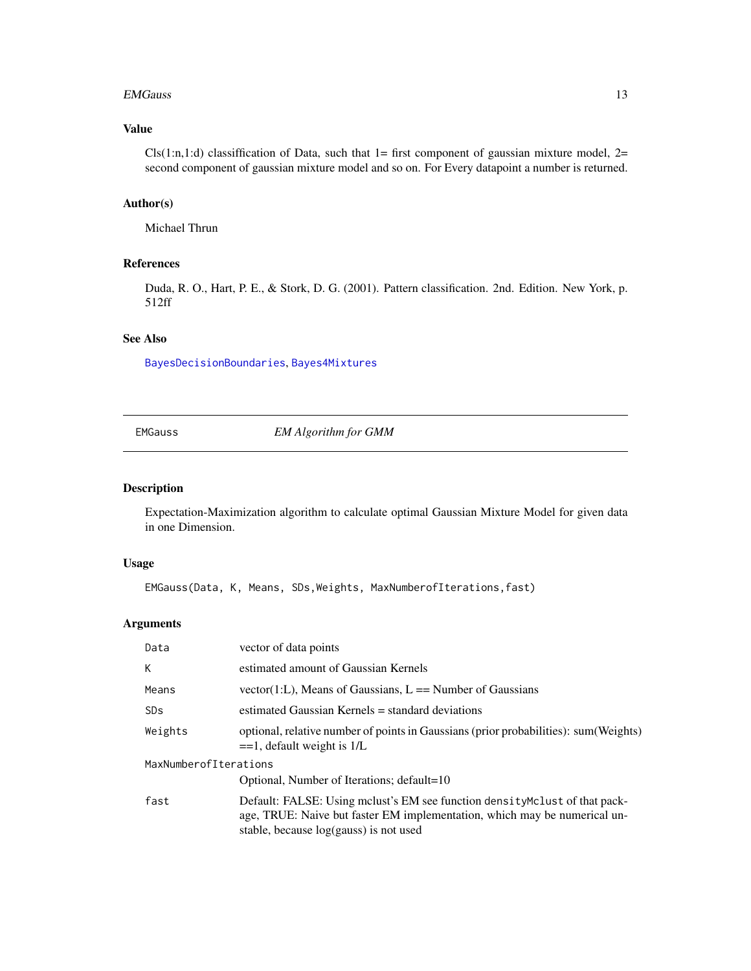#### <span id="page-12-0"></span>EMGauss 13

# Value

 $Cls(1:n,1:d)$  classiffication of Data, such that  $1=$  first component of gaussian mixture model,  $2=$ second component of gaussian mixture model and so on. For Every datapoint a number is returned.

#### Author(s)

Michael Thrun

# References

Duda, R. O., Hart, P. E., & Stork, D. G. (2001). Pattern classification. 2nd. Edition. New York, p. 512ff

#### See Also

[BayesDecisionBoundaries](#page-7-1), [Bayes4Mixtures](#page-5-1)

# EMGauss *EM Algorithm for GMM*

#### Description

Expectation-Maximization algorithm to calculate optimal Gaussian Mixture Model for given data in one Dimension.

#### Usage

EMGauss(Data, K, Means, SDs,Weights, MaxNumberofIterations,fast)

| Data                  | vector of data points                                                                                                                                                                              |
|-----------------------|----------------------------------------------------------------------------------------------------------------------------------------------------------------------------------------------------|
| K                     | estimated amount of Gaussian Kernels                                                                                                                                                               |
| Means                 | vector(1:L), Means of Gaussians, $L ==$ Number of Gaussians                                                                                                                                        |
| <b>SD<sub>S</sub></b> | estimated Gaussian Kernels = standard deviations                                                                                                                                                   |
| Weights               | optional, relative number of points in Gaussians (prior probabilities): sum (Weights)<br>$==1$ , default weight is 1/L                                                                             |
| MaxNumberofIterations |                                                                                                                                                                                                    |
|                       | Optional, Number of Iterations; default=10                                                                                                                                                         |
| fast                  | Default: FALSE: Using melust's EM see function density Melust of that pack-<br>age, TRUE: Naive but faster EM implementation, which may be numerical un-<br>stable, because log(gauss) is not used |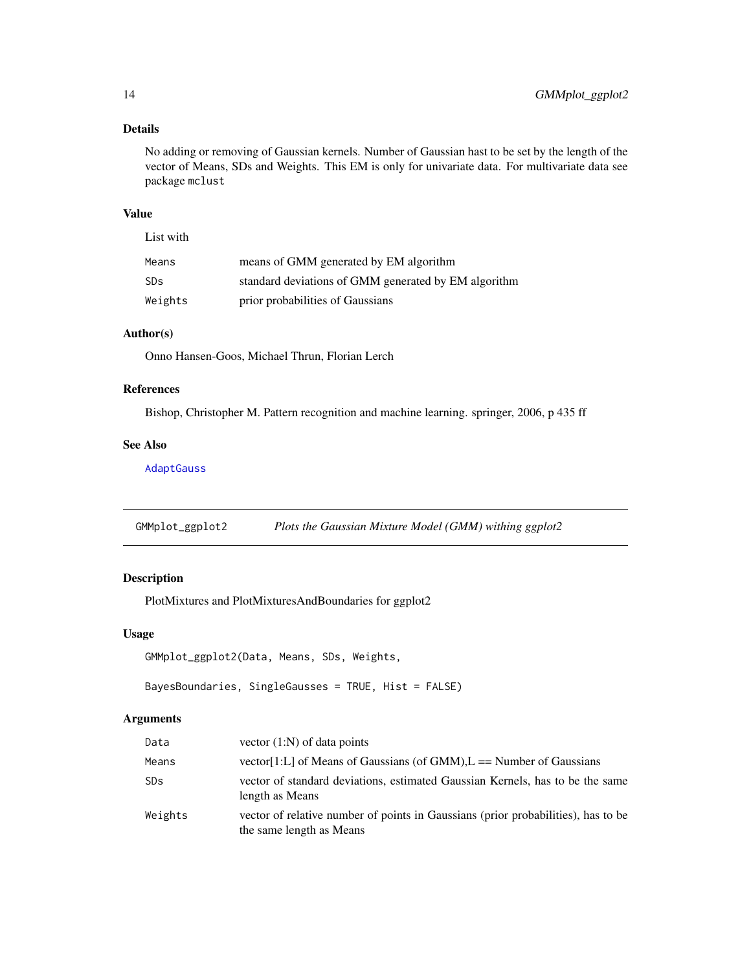# <span id="page-13-0"></span>Details

No adding or removing of Gaussian kernels. Number of Gaussian hast to be set by the length of the vector of Means, SDs and Weights. This EM is only for univariate data. For multivariate data see package mclust

#### Value

List with

| Means           | means of GMM generated by EM algorithm               |
|-----------------|------------------------------------------------------|
| SD <sub>S</sub> | standard deviations of GMM generated by EM algorithm |
| Weights         | prior probabilities of Gaussians                     |

#### Author(s)

Onno Hansen-Goos, Michael Thrun, Florian Lerch

# References

Bishop, Christopher M. Pattern recognition and machine learning. springer, 2006, p 435 ff

#### See Also

[AdaptGauss](#page-3-1)

GMMplot\_ggplot2 *Plots the Gaussian Mixture Model (GMM) withing ggplot2*

# Description

PlotMixtures and PlotMixturesAndBoundaries for ggplot2

# Usage

```
GMMplot_ggplot2(Data, Means, SDs, Weights,
```
BayesBoundaries, SingleGausses = TRUE, Hist = FALSE)

| Data                  | vector $(1:N)$ of data points                                                                                 |
|-----------------------|---------------------------------------------------------------------------------------------------------------|
| Means                 | vector [1:L] of Means of Gaussians (of GMM), $L =$ Number of Gaussians                                        |
| <b>SD<sub>S</sub></b> | vector of standard deviations, estimated Gaussian Kernels, has to be the same<br>length as Means              |
| Weights               | vector of relative number of points in Gaussians (prior probabilities), has to be<br>the same length as Means |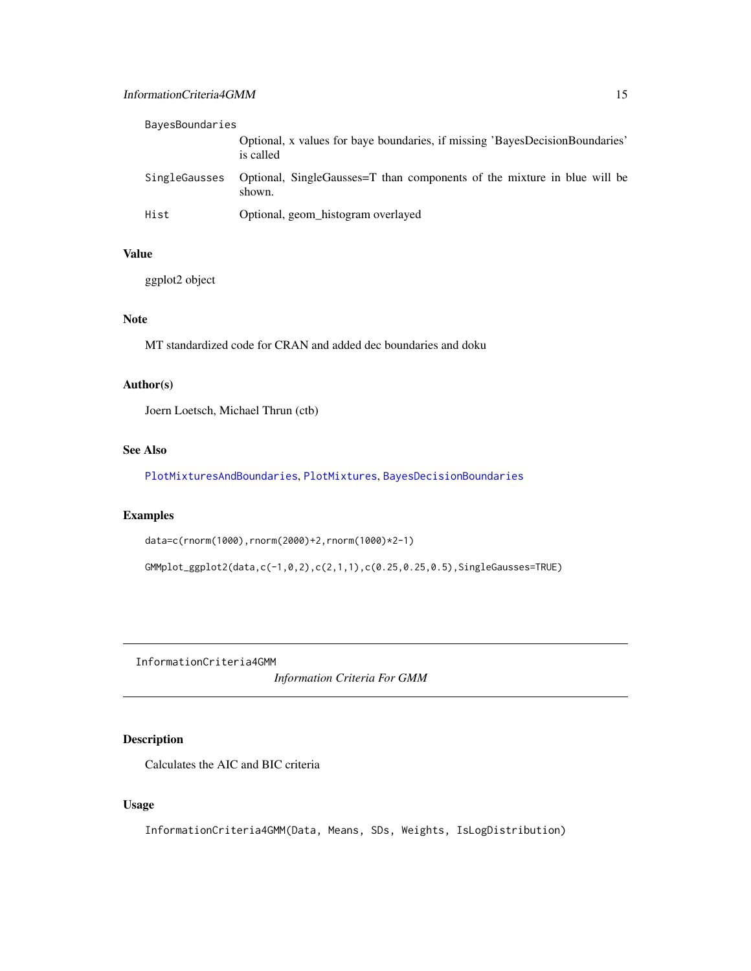<span id="page-14-0"></span>

| BayesBoundaries |                                                                                           |
|-----------------|-------------------------------------------------------------------------------------------|
|                 | Optional, x values for baye boundaries, if missing 'BayesDecisionBoundaries'<br>is called |
| SingleGausses   | Optional, SingleGausses=T than components of the mixture in blue will be<br>shown.        |
| Hist            | Optional, geom_histogram overlayed                                                        |

#### Value

ggplot2 object

# Note

MT standardized code for CRAN and added dec boundaries and doku

### Author(s)

Joern Loetsch, Michael Thrun (ctb)

#### See Also

[PlotMixturesAndBoundaries](#page-23-1), [PlotMixtures](#page-22-1), [BayesDecisionBoundaries](#page-7-1)

# Examples

```
data=c(rnorm(1000),rnorm(2000)+2,rnorm(1000)*2-1)
```
GMMplot\_ggplot2(data,c(-1,0,2),c(2,1,1),c(0.25,0.25,0.5),SingleGausses=TRUE)

InformationCriteria4GMM

*Information Criteria For GMM*

# Description

Calculates the AIC and BIC criteria

# Usage

InformationCriteria4GMM(Data, Means, SDs, Weights, IsLogDistribution)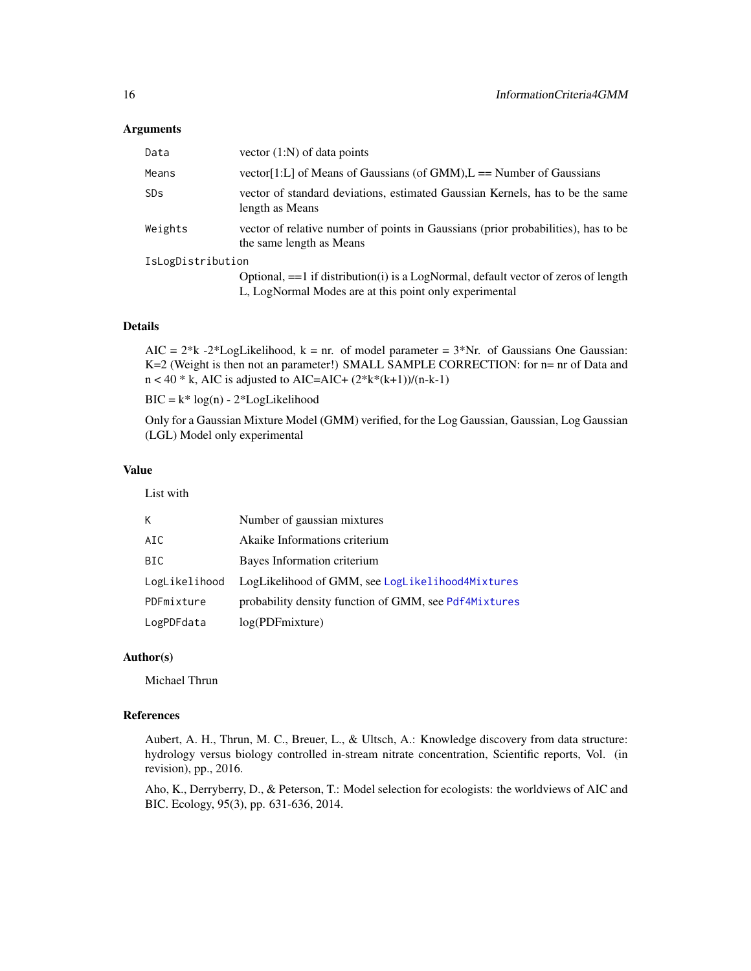#### <span id="page-15-0"></span>**Arguments**

| Data                  | vector $(1:N)$ of data points                                                                                                                 |  |
|-----------------------|-----------------------------------------------------------------------------------------------------------------------------------------------|--|
| Means                 | vector [1:L] of Means of Gaussians (of GMM), $L =$ Number of Gaussians                                                                        |  |
| <b>SD<sub>S</sub></b> | vector of standard deviations, estimated Gaussian Kernels, has to be the same<br>length as Means                                              |  |
| Weights               | vector of relative number of points in Gaussians (prior probabilities), has to be<br>the same length as Means                                 |  |
| IsLogDistribution     |                                                                                                                                               |  |
|                       | Optional, == 1 if distribution(i) is a LogNormal, default vector of zeros of length<br>L, LogNormal Modes are at this point only experimental |  |

# Details

AIC =  $2*k - 2*LogLikelihood$ ,  $k = nr$ . of model parameter =  $3*Nr$ . of Gaussians One Gaussian: K=2 (Weight is then not an parameter!) SMALL SAMPLE CORRECTION: for n= nr of Data and  $n < 40$  \* k, AIC is adjusted to AIC=AIC+  $(2*k*(k+1))/(n-k-1)$ 

 $BIC = k^* log(n) - 2*LogLikelihood$ 

Only for a Gaussian Mixture Model (GMM) verified, for the Log Gaussian, Gaussian, Log Gaussian (LGL) Model only experimental

#### Value

List with

| K.            | Number of gaussian mixtures                           |
|---------------|-------------------------------------------------------|
| AIC           | Akaike Informations criterium                         |
| BIC           | Bayes Information criterium                           |
| LogLikelihood | LogLikelihood of GMM, see LogLikelihood4Mixtures      |
| PDFmixture    | probability density function of GMM, see Pdf4Mixtures |
| LogPDFdata    | log(PDFmixture)                                       |

# Author(s)

Michael Thrun

# References

Aubert, A. H., Thrun, M. C., Breuer, L., & Ultsch, A.: Knowledge discovery from data structure: hydrology versus biology controlled in-stream nitrate concentration, Scientific reports, Vol. (in revision), pp., 2016.

Aho, K., Derryberry, D., & Peterson, T.: Model selection for ecologists: the worldviews of AIC and BIC. Ecology, 95(3), pp. 631-636, 2014.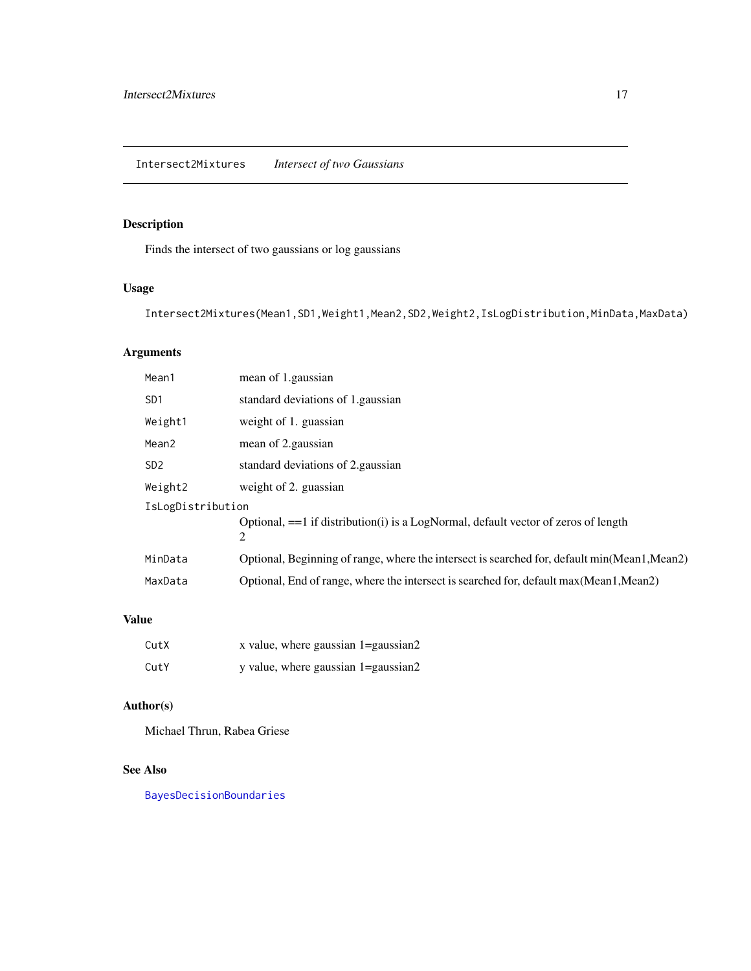# <span id="page-16-1"></span><span id="page-16-0"></span>Description

Finds the intersect of two gaussians or log gaussians

# Usage

Intersect2Mixtures(Mean1,SD1,Weight1,Mean2,SD2,Weight2,IsLogDistribution,MinData,MaxData)

# Arguments

| Mean1             | mean of 1.gaussian                                                                           |  |
|-------------------|----------------------------------------------------------------------------------------------|--|
| SD <sub>1</sub>   | standard deviations of 1. gaussian                                                           |  |
| Weight1           | weight of 1. guassian                                                                        |  |
| Mean <sub>2</sub> | mean of 2. gaussian                                                                          |  |
| SD <sub>2</sub>   | standard deviations of 2. gaussian                                                           |  |
| Weight2           | weight of 2. guassian                                                                        |  |
| IsLogDistribution |                                                                                              |  |
|                   | Optional, $==1$ if distribution(i) is a LogNormal, default vector of zeros of length<br>2    |  |
| MinData           | Optional, Beginning of range, where the intersect is searched for, default min(Mean1, Mean2) |  |
| MaxData           | Optional, End of range, where the intersect is searched for, default max (Mean1, Mean2)      |  |

#### Value

| CutX | x value, where gaussian 1=gaussian2 |  |
|------|-------------------------------------|--|
| CutY | y value, where gaussian 1=gaussian2 |  |

# Author(s)

Michael Thrun, Rabea Griese

# See Also

[BayesDecisionBoundaries](#page-7-1)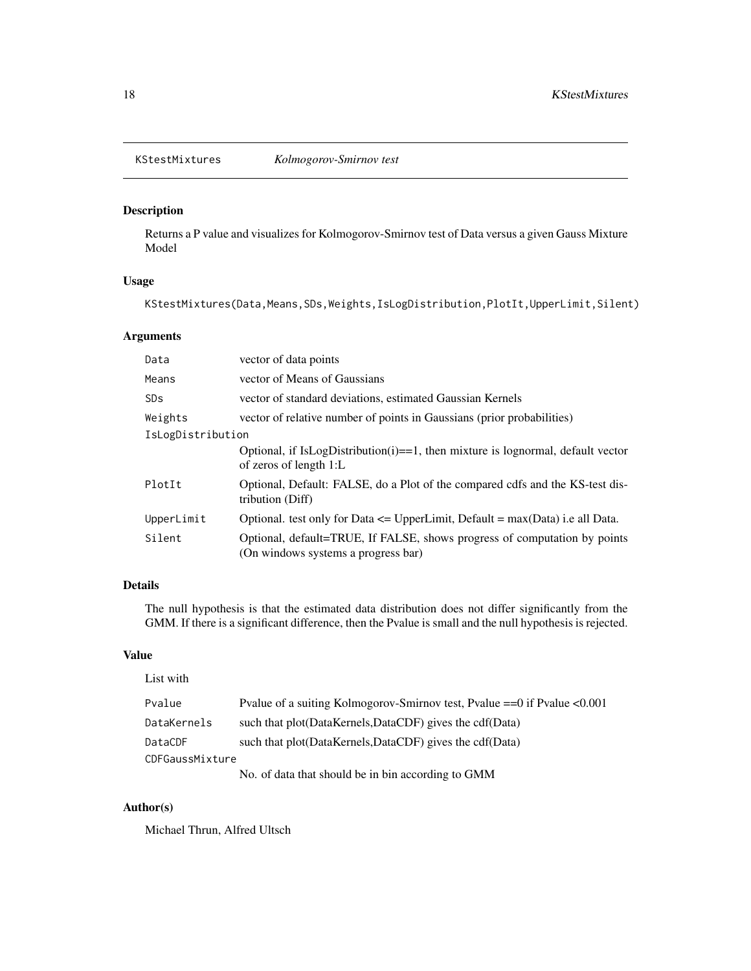<span id="page-17-0"></span>

# Description

Returns a P value and visualizes for Kolmogorov-Smirnov test of Data versus a given Gauss Mixture Model

#### Usage

KStestMixtures(Data,Means,SDs,Weights,IsLogDistribution,PlotIt,UpperLimit,Silent)

# Arguments

| Data                  | vector of data points                                                                                            |  |
|-----------------------|------------------------------------------------------------------------------------------------------------------|--|
| Means                 | vector of Means of Gaussians                                                                                     |  |
| <b>SD<sub>S</sub></b> | vector of standard deviations, estimated Gaussian Kernels                                                        |  |
| Weights               | vector of relative number of points in Gaussians (prior probabilities)                                           |  |
| IsLogDistribution     |                                                                                                                  |  |
|                       | Optional, if IsLogDistribution(i)==1, then mixture is lognormal, default vector<br>of zeros of length 1:L        |  |
| PlotIt                | Optional, Default: FALSE, do a Plot of the compared cdfs and the KS-test dis-<br>tribution (Diff)                |  |
| UpperLimit            | Optional. test only for Data $\leq$ UpperLimit, Default = max(Data) i.e all Data.                                |  |
| Silent                | Optional, default=TRUE, If FALSE, shows progress of computation by points<br>(On windows systems a progress bar) |  |

#### Details

The null hypothesis is that the estimated data distribution does not differ significantly from the GMM. If there is a significant difference, then the Pvalue is small and the null hypothesis is rejected.

# Value

List with

| <b>LADU 77 IUII</b> |                                                                              |
|---------------------|------------------------------------------------------------------------------|
| Pvalue              | Pvalue of a suiting Kolmogorov-Smirnov test, Pvalue $==0$ if Pvalue $<0.001$ |
| DataKernels         | such that plot(DataKernels,DataCDF) gives the cdf(Data)                      |
| DataCDF             | such that plot(DataKernels,DataCDF) gives the cdf(Data)                      |
| CDFGaussMixture     |                                                                              |
|                     | No. of data that should be in bin according to GMM                           |

Author(s)

Michael Thrun, Alfred Ultsch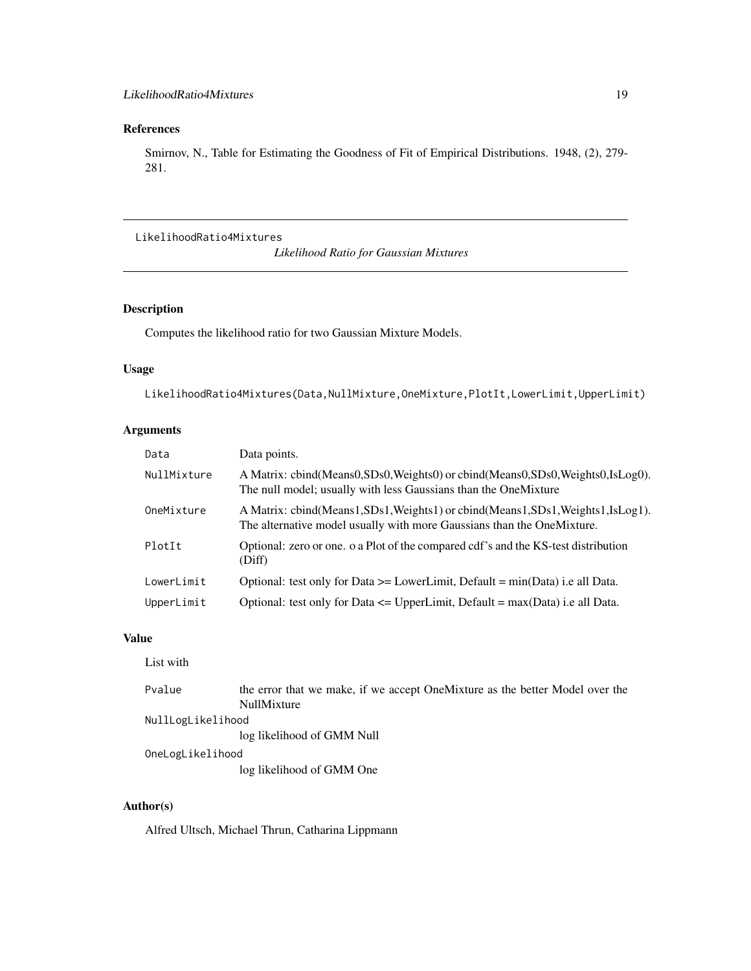# <span id="page-18-0"></span>References

Smirnov, N., Table for Estimating the Goodness of Fit of Empirical Distributions. 1948, (2), 279- 281.

# LikelihoodRatio4Mixtures

*Likelihood Ratio for Gaussian Mixtures*

# Description

Computes the likelihood ratio for two Gaussian Mixture Models.

#### Usage

LikelihoodRatio4Mixtures(Data,NullMixture,OneMixture,PlotIt,LowerLimit,UpperLimit)

# Arguments

| Data        | Data points.                                                                                                                                           |
|-------------|--------------------------------------------------------------------------------------------------------------------------------------------------------|
| NullMixture | A Matrix: cbind(Means0,SDs0,Weights0) or cbind(Means0,SDs0,Weights0,IsLog0).<br>The null model; usually with less Gaussians than the OneMixture        |
| OneMixture  | A Matrix: cbind(Means1,SDs1,Weights1) or cbind(Means1,SDs1,Weights1,IsLog1).<br>The alternative model usually with more Gaussians than the OneMixture. |
| PlotIt      | Optional: zero or one. o a Plot of the compared cdf's and the KS-test distribution<br>(Diff)                                                           |
| LowerLimit  | Optional: test only for Data $\geq$ LowerLimit, Default = min(Data) i.e all Data.                                                                      |
| UpperLimit  | Optional: test only for Data $\leq$ UpperLimit, Default = max(Data) i.e all Data.                                                                      |

#### Value

List with

| Pvalue            | the error that we make, if we accept OneMixture as the better Model over the |
|-------------------|------------------------------------------------------------------------------|
|                   | NullMixture                                                                  |
| NullLogLikelihood |                                                                              |
|                   | log likelihood of GMM Null                                                   |
| OneLogLikelihood  |                                                                              |
|                   | log likelihood of GMM One                                                    |

# Author(s)

Alfred Ultsch, Michael Thrun, Catharina Lippmann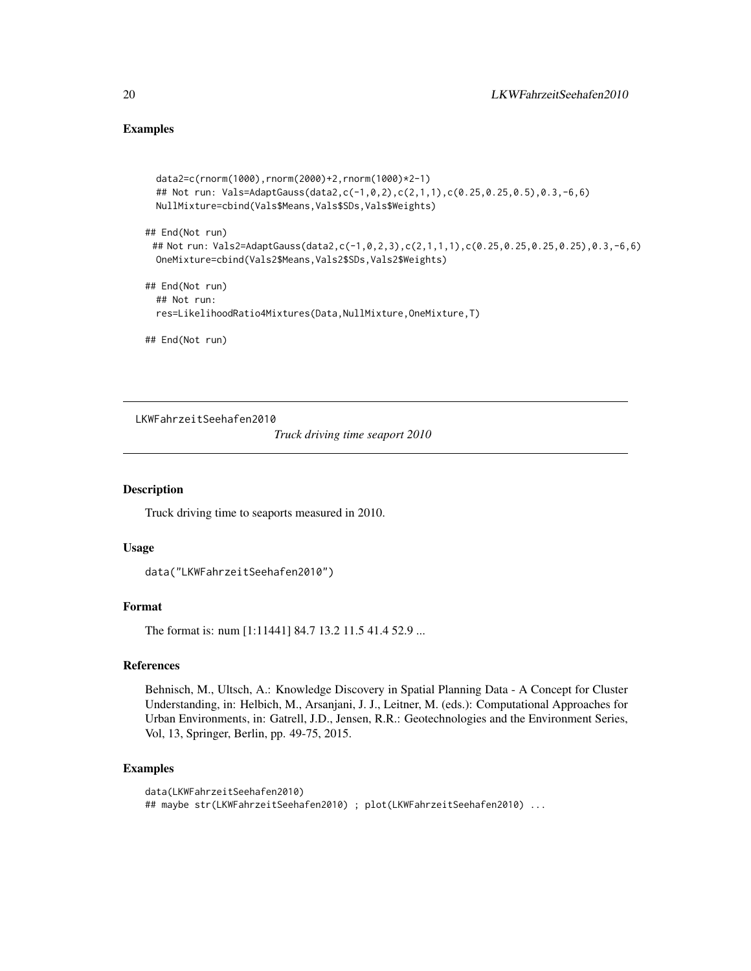# Examples

```
data2=c(rnorm(1000),rnorm(2000)+2,rnorm(1000)*2-1)
## Not run: Vals=AdaptGauss(data2,c(-1,0,2),c(2,1,1),c(0.25,0.25,0.5),0.3,-6,6)
NullMixture=cbind(Vals$Means,Vals$SDs,Vals$Weights)
```
## End(Not run)

```
## Not run: Vals2=AdaptGauss(data2,c(-1,0,2,3),c(2,1,1,1),c(0.25,0.25,0.25,0.25),0.3,-6,6)
OneMixture=cbind(Vals2$Means,Vals2$SDs,Vals2$Weights)
```

```
## End(Not run)
 ## Not run:
 res=LikelihoodRatio4Mixtures(Data,NullMixture,OneMixture,T)
```
## End(Not run)

LKWFahrzeitSeehafen2010

*Truck driving time seaport 2010*

#### Description

Truck driving time to seaports measured in 2010.

#### Usage

```
data("LKWFahrzeitSeehafen2010")
```
#### Format

The format is: num [1:11441] 84.7 13.2 11.5 41.4 52.9 ...

#### References

Behnisch, M., Ultsch, A.: Knowledge Discovery in Spatial Planning Data - A Concept for Cluster Understanding, in: Helbich, M., Arsanjani, J. J., Leitner, M. (eds.): Computational Approaches for Urban Environments, in: Gatrell, J.D., Jensen, R.R.: Geotechnologies and the Environment Series, Vol, 13, Springer, Berlin, pp. 49-75, 2015.

# Examples

```
data(LKWFahrzeitSeehafen2010)
## maybe str(LKWFahrzeitSeehafen2010) ; plot(LKWFahrzeitSeehafen2010) ...
```
<span id="page-19-0"></span>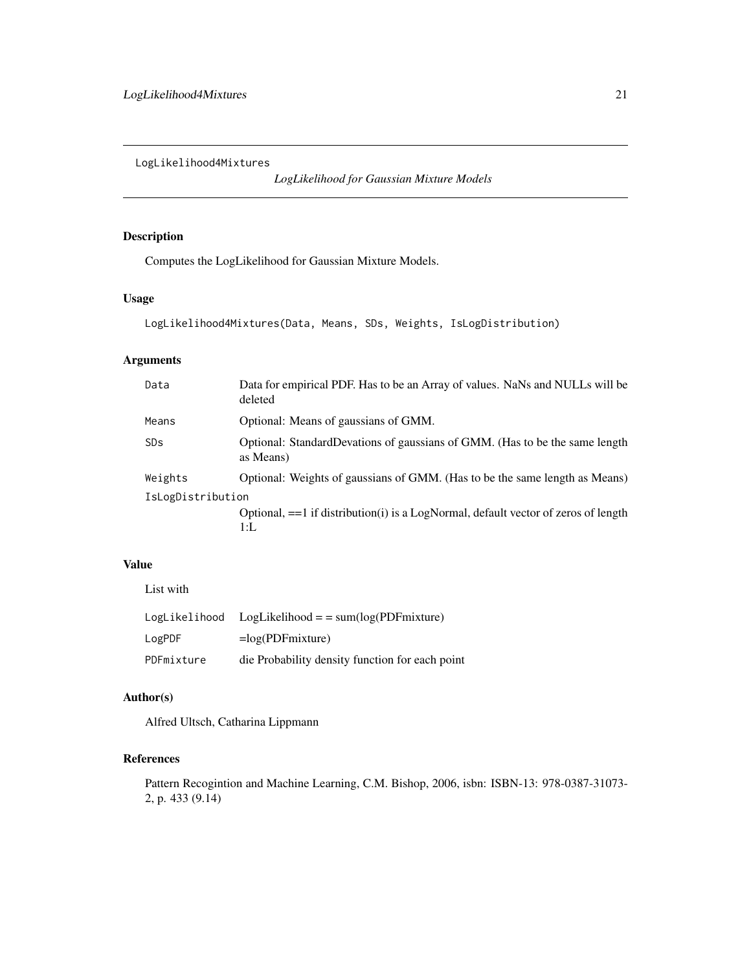<span id="page-20-1"></span><span id="page-20-0"></span>LogLikelihood4Mixtures

*LogLikelihood for Gaussian Mixture Models*

# Description

Computes the LogLikelihood for Gaussian Mixture Models.

# Usage

```
LogLikelihood4Mixtures(Data, Means, SDs, Weights, IsLogDistribution)
```
# Arguments

| Data                  | Data for empirical PDF. Has to be an Array of values. NaNs and NULLs will be<br>deleted     |  |
|-----------------------|---------------------------------------------------------------------------------------------|--|
| Means                 | Optional: Means of gaussians of GMM.                                                        |  |
| <b>SD<sub>S</sub></b> | Optional: StandardDevations of gaussians of GMM. (Has to be the same length<br>as Means)    |  |
| Weights               | Optional: Weights of gaussians of GMM. (Has to be the same length as Means)                 |  |
| IsLogDistribution     |                                                                                             |  |
|                       | Optional, $==1$ if distribution(i) is a LogNormal, default vector of zeros of length<br>1:L |  |

# Value

List with

| LogLikelihood | $LogLikelihood = sum(log(PDF mixture)$          |
|---------------|-------------------------------------------------|
| LogPDF        | $=$ log(PDFmixture)                             |
| PDFmixture    | die Probability density function for each point |

# Author(s)

Alfred Ultsch, Catharina Lippmann

# References

Pattern Recogintion and Machine Learning, C.M. Bishop, 2006, isbn: ISBN-13: 978-0387-31073- 2, p. 433 (9.14)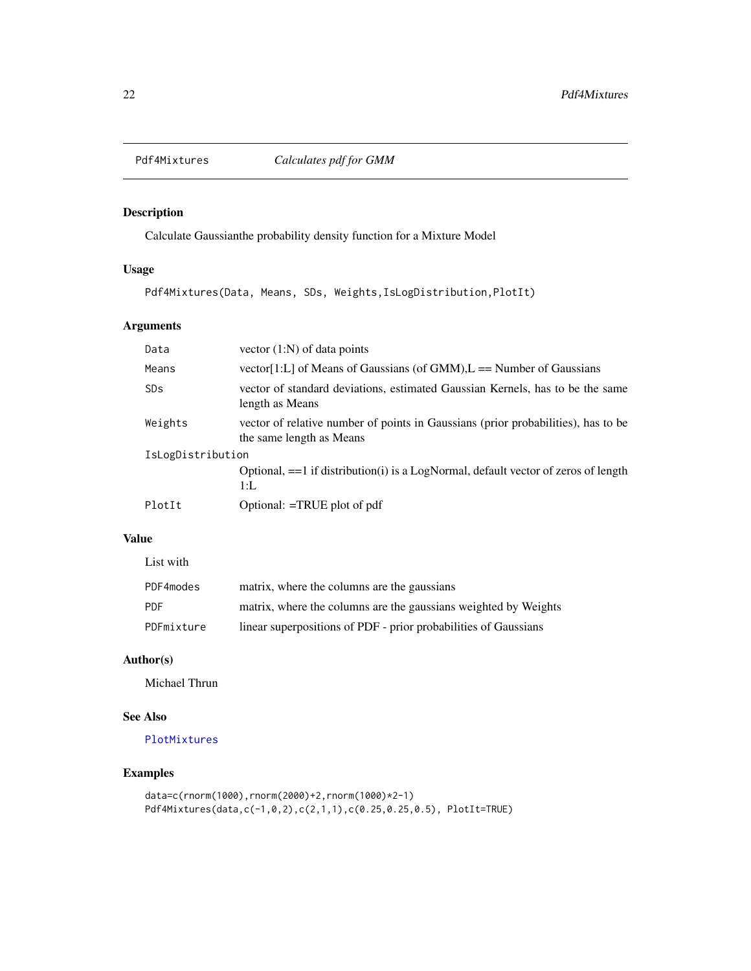<span id="page-21-1"></span><span id="page-21-0"></span>

# Description

Calculate Gaussianthe probability density function for a Mixture Model

# Usage

Pdf4Mixtures(Data, Means, SDs, Weights,IsLogDistribution,PlotIt)

# Arguments

| Data              | vector $(1:N)$ of data points                                                                                 |  |
|-------------------|---------------------------------------------------------------------------------------------------------------|--|
| Means             | vector[1:L] of Means of Gaussians (of GMM), $L =$ Number of Gaussians                                         |  |
| <b>SDs</b>        | vector of standard deviations, estimated Gaussian Kernels, has to be the same<br>length as Means              |  |
| Weights           | vector of relative number of points in Gaussians (prior probabilities), has to be<br>the same length as Means |  |
| IsLogDistribution |                                                                                                               |  |
|                   | Optional, $==1$ if distribution(i) is a LogNormal, default vector of zeros of length<br>$1:$ L                |  |
| PlotIt            | Optional: $=$ TRUE plot of pdf                                                                                |  |

# Value

| List with  |                                                                 |
|------------|-----------------------------------------------------------------|
| PDF4modes  | matrix, where the columns are the gaussians                     |
| <b>PDF</b> | matrix, where the columns are the gaussians weighted by Weights |
| PDFmixture | linear superpositions of PDF - prior probabilities of Gaussians |

#### Author(s)

Michael Thrun

# See Also

[PlotMixtures](#page-22-1)

# Examples

```
data=c(rnorm(1000),rnorm(2000)+2,rnorm(1000)*2-1)
Pdf4Mixtures(data,c(-1,0,2),c(2,1,1),c(0.25,0.25,0.5), PlotIt=TRUE)
```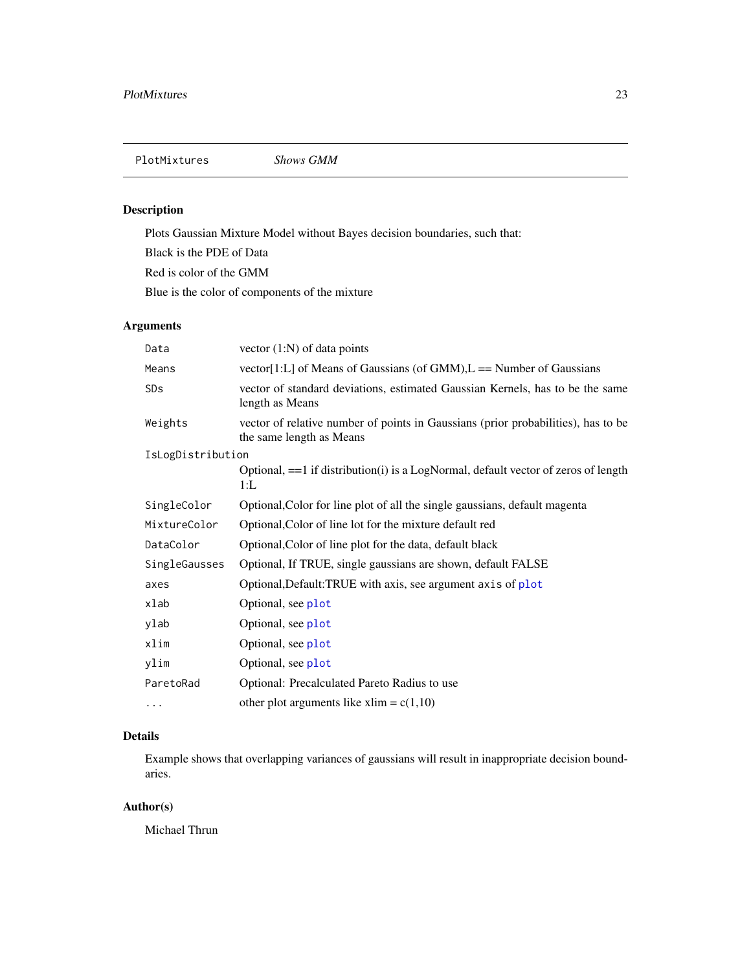<span id="page-22-1"></span><span id="page-22-0"></span>PlotMixtures *Shows GMM*

# Description

Plots Gaussian Mixture Model without Bayes decision boundaries, such that:

Black is the PDE of Data

Red is color of the GMM

Blue is the color of components of the mixture

# Arguments

| Data              | vector $(1:N)$ of data points                                                                                 |
|-------------------|---------------------------------------------------------------------------------------------------------------|
| Means             | vector[1:L] of Means of Gaussians (of GMM), $L =$ Number of Gaussians                                         |
| SDs               | vector of standard deviations, estimated Gaussian Kernels, has to be the same<br>length as Means              |
| Weights           | vector of relative number of points in Gaussians (prior probabilities), has to be<br>the same length as Means |
| IsLogDistribution |                                                                                                               |
|                   | Optional, $==1$ if distribution(i) is a LogNormal, default vector of zeros of length<br>$1:$ L                |
| SingleColor       | Optional, Color for line plot of all the single gaussians, default magenta                                    |
| MixtureColor      | Optional, Color of line lot for the mixture default red                                                       |
| DataColor         | Optional, Color of line plot for the data, default black                                                      |
| SingleGausses     | Optional, If TRUE, single gaussians are shown, default FALSE                                                  |
| axes              | Optional, Default: TRUE with axis, see argument axis of plot                                                  |
| xlab              | Optional, see plot                                                                                            |
| ylab              | Optional, see plot                                                                                            |
| xlim              | Optional, see plot                                                                                            |
| ylim              | Optional, see plot                                                                                            |
| ParetoRad         | Optional: Precalculated Pareto Radius to use                                                                  |
| .                 | other plot arguments like xlim = $c(1,10)$                                                                    |

# Details

Example shows that overlapping variances of gaussians will result in inappropriate decision boundaries.

# Author(s)

Michael Thrun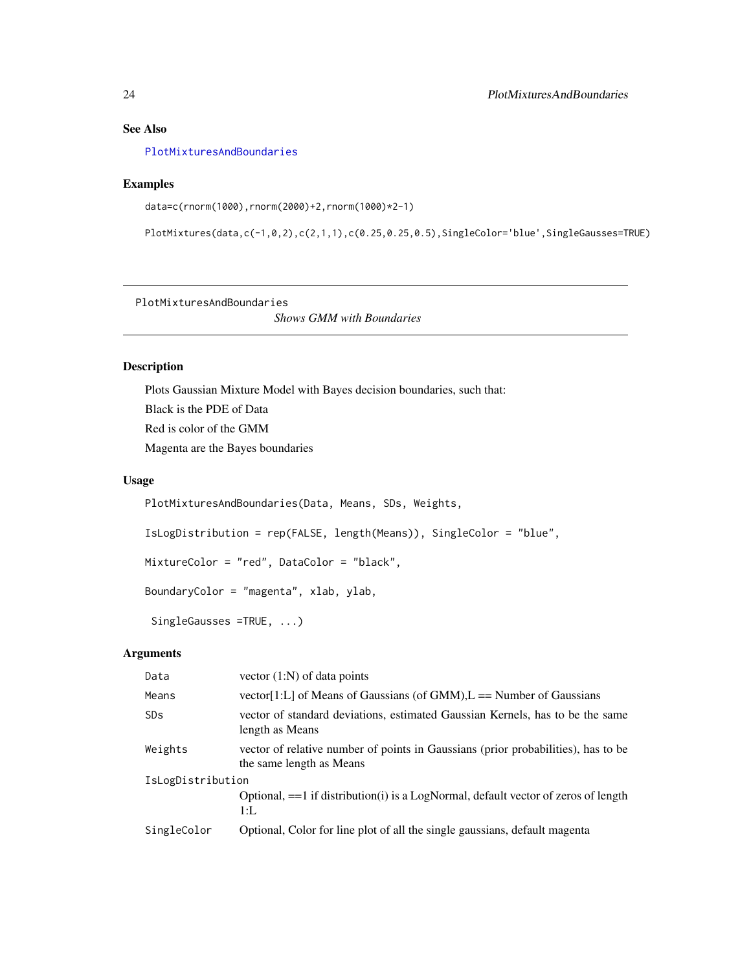# See Also

[PlotMixturesAndBoundaries](#page-23-1)

#### Examples

```
data=c(rnorm(1000),rnorm(2000)+2,rnorm(1000)*2-1)
```
 $PlotMixtures(data, c(-1, 0, 2), c(2, 1, 1), c(0.25, 0.25, 0.5), SingleColor='blue', SingleGausses=TRUE)$ 

<span id="page-23-1"></span>PlotMixturesAndBoundaries

*Shows GMM with Boundaries*

# Description

Plots Gaussian Mixture Model with Bayes decision boundaries, such that: Black is the PDE of Data Red is color of the GMM Magenta are the Bayes boundaries

# Usage

PlotMixturesAndBoundaries(Data, Means, SDs, Weights, IsLogDistribution = rep(FALSE, length(Means)), SingleColor = "blue", MixtureColor = "red", DataColor = "black", BoundaryColor = "magenta", xlab, ylab, SingleGausses =TRUE, ...)

| Data              | vector $(1:N)$ of data points                                                                                 |  |
|-------------------|---------------------------------------------------------------------------------------------------------------|--|
| Means             | vector[1:L] of Means of Gaussians (of GMM), $L =$ Number of Gaussians                                         |  |
| SDs               | vector of standard deviations, estimated Gaussian Kernels, has to be the same<br>length as Means              |  |
| Weights           | vector of relative number of points in Gaussians (prior probabilities), has to be<br>the same length as Means |  |
| IsLogDistribution |                                                                                                               |  |
|                   | Optional, $==1$ if distribution(i) is a LogNormal, default vector of zeros of length<br>$1:$ L                |  |
| SingleColor       | Optional, Color for line plot of all the single gaussians, default magenta                                    |  |

<span id="page-23-0"></span>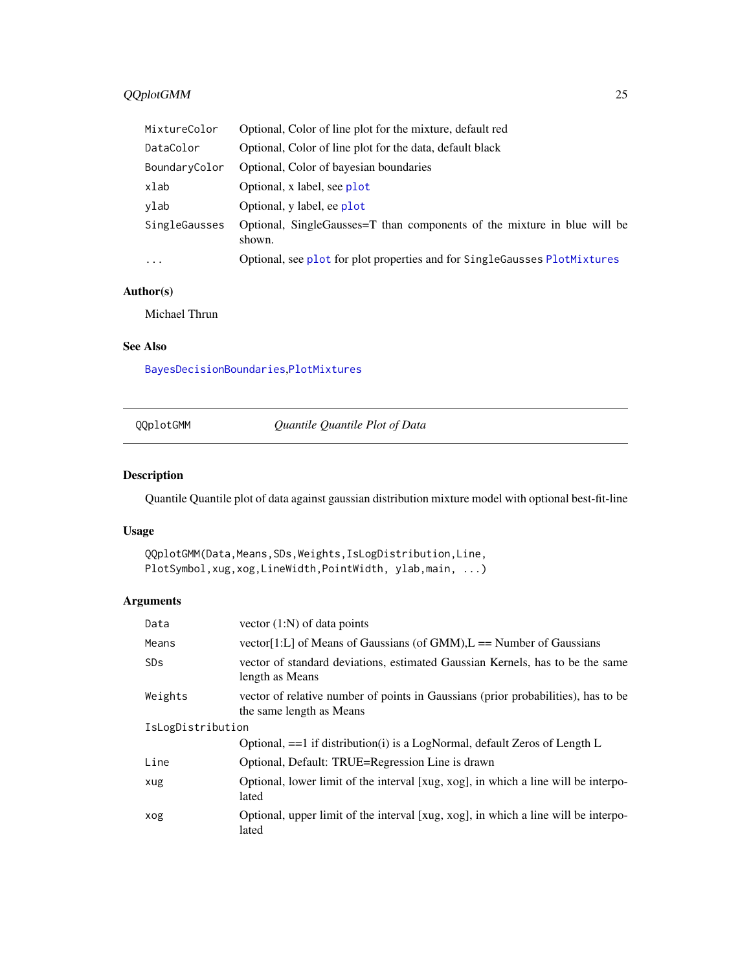# <span id="page-24-0"></span>QQplotGMM 25

| MixtureColor  | Optional, Color of line plot for the mixture, default red                          |
|---------------|------------------------------------------------------------------------------------|
| DataColor     | Optional, Color of line plot for the data, default black                           |
| BoundaryColor | Optional, Color of bayesian boundaries                                             |
| xlab          | Optional, x label, see plot                                                        |
| vlab          | Optional, y label, ee plot                                                         |
| SingleGausses | Optional, SingleGausses=T than components of the mixture in blue will be<br>shown. |
| $\cdots$      | Optional, see plot for plot properties and for SingleGausses PlotMixtures          |

# Author(s)

Michael Thrun

#### See Also

[BayesDecisionBoundaries](#page-7-1),[PlotMixtures](#page-22-1)

<span id="page-24-1"></span>

| QQplotGMM |  |
|-----------|--|
|-----------|--|

QQplotGMM *Quantile Quantile Plot of Data*

# Description

Quantile Quantile plot of data against gaussian distribution mixture model with optional best-fit-line

# Usage

```
QQplotGMM(Data,Means,SDs,Weights,IsLogDistribution,Line,
PlotSymbol,xug,xog,LineWidth,PointWidth, ylab,main, ...)
```

| Data                  | vector $(1:N)$ of data points                                                                                 |  |
|-----------------------|---------------------------------------------------------------------------------------------------------------|--|
| Means                 | vector[1:L] of Means of Gaussians (of GMM), $L =$ Number of Gaussians                                         |  |
| <b>SD<sub>S</sub></b> | vector of standard deviations, estimated Gaussian Kernels, has to be the same<br>length as Means              |  |
| Weights               | vector of relative number of points in Gaussians (prior probabilities), has to be<br>the same length as Means |  |
| IsLogDistribution     |                                                                                                               |  |
|                       | Optional, $==1$ if distribution(i) is a LogNormal, default Zeros of Length L                                  |  |
| Line                  | Optional, Default: TRUE=Regression Line is drawn                                                              |  |
| xug                   | Optional, lower limit of the interval [xug, xog], in which a line will be interpo-<br>lated                   |  |
| xog                   | Optional, upper limit of the interval [xug, xog], in which a line will be interpo-<br>lated                   |  |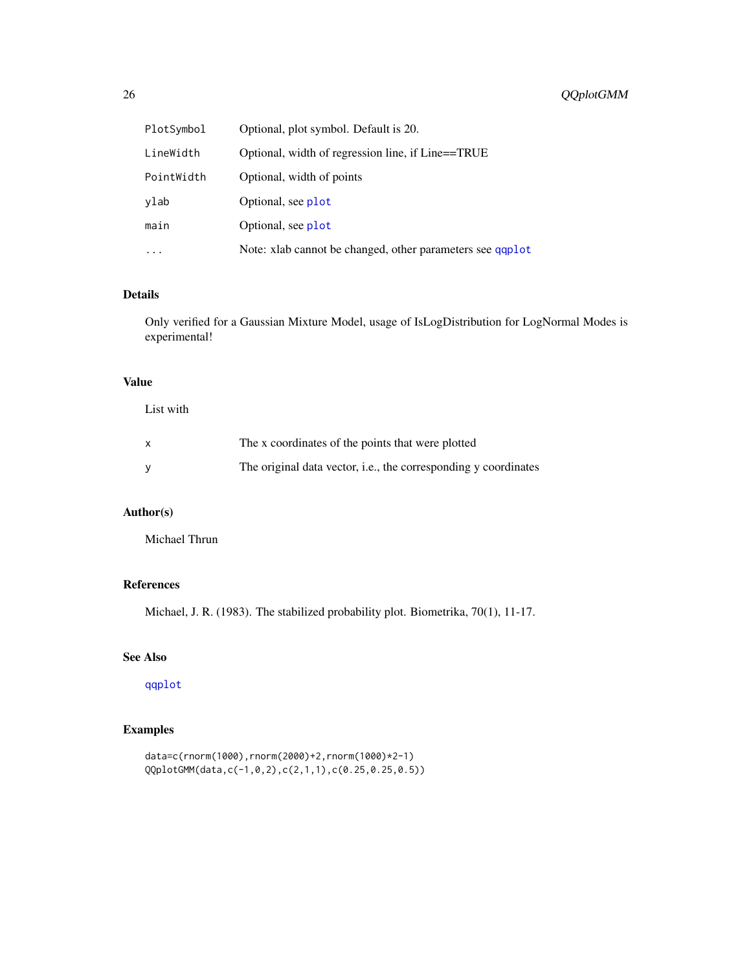<span id="page-25-0"></span>

| PlotSymbol | Optional, plot symbol. Default is 20.                     |
|------------|-----------------------------------------------------------|
| LineWidth  | Optional, width of regression line, if Line==TRUE         |
| PointWidth | Optional, width of points                                 |
| vlab       | Optional, see plot                                        |
| main       | Optional, see plot                                        |
| $\ddots$ . | Note: xlab cannot be changed, other parameters see qqplot |

#### Details

Only verified for a Gaussian Mixture Model, usage of IsLogDistribution for LogNormal Modes is experimental!

#### Value

List with

| The x coordinates of the points that were plotted                       |
|-------------------------------------------------------------------------|
| The original data vector, <i>i.e.</i> , the corresponding y coordinates |

# Author(s)

Michael Thrun

#### References

Michael, J. R. (1983). The stabilized probability plot. Biometrika, 70(1), 11-17.

#### See Also

[qqplot](#page-0-0)

# Examples

```
data=c(rnorm(1000),rnorm(2000)+2,rnorm(1000)*2-1)
QQplotGMM(data,c(-1,0,2),c(2,1,1),c(0.25,0.25,0.5))
```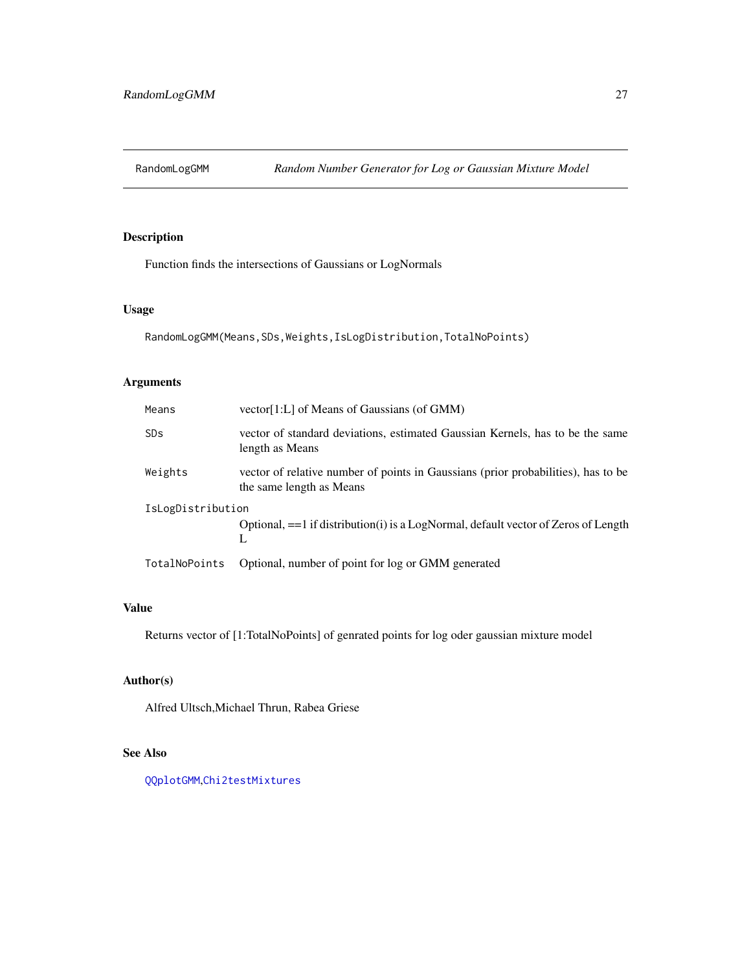<span id="page-26-0"></span>

# Description

Function finds the intersections of Gaussians or LogNormals

# Usage

```
RandomLogGMM(Means,SDs,Weights,IsLogDistribution,TotalNoPoints)
```
# Arguments

| Means                 | vector[1:L] of Means of Gaussians (of GMM)                                                                    |
|-----------------------|---------------------------------------------------------------------------------------------------------------|
| <b>SD<sub>S</sub></b> | vector of standard deviations, estimated Gaussian Kernels, has to be the same<br>length as Means              |
| Weights               | vector of relative number of points in Gaussians (prior probabilities), has to be<br>the same length as Means |
| IsLogDistribution     |                                                                                                               |
|                       | Optional, $==1$ if distribution(i) is a LogNormal, default vector of Zeros of Length<br>L                     |
| TotalNoPoints         | Optional, number of point for log or GMM generated                                                            |

# Value

Returns vector of [1:TotalNoPoints] of genrated points for log oder gaussian mixture model

# Author(s)

Alfred Ultsch,Michael Thrun, Rabea Griese

# See Also

[QQplotGMM](#page-24-1),[Chi2testMixtures](#page-10-1)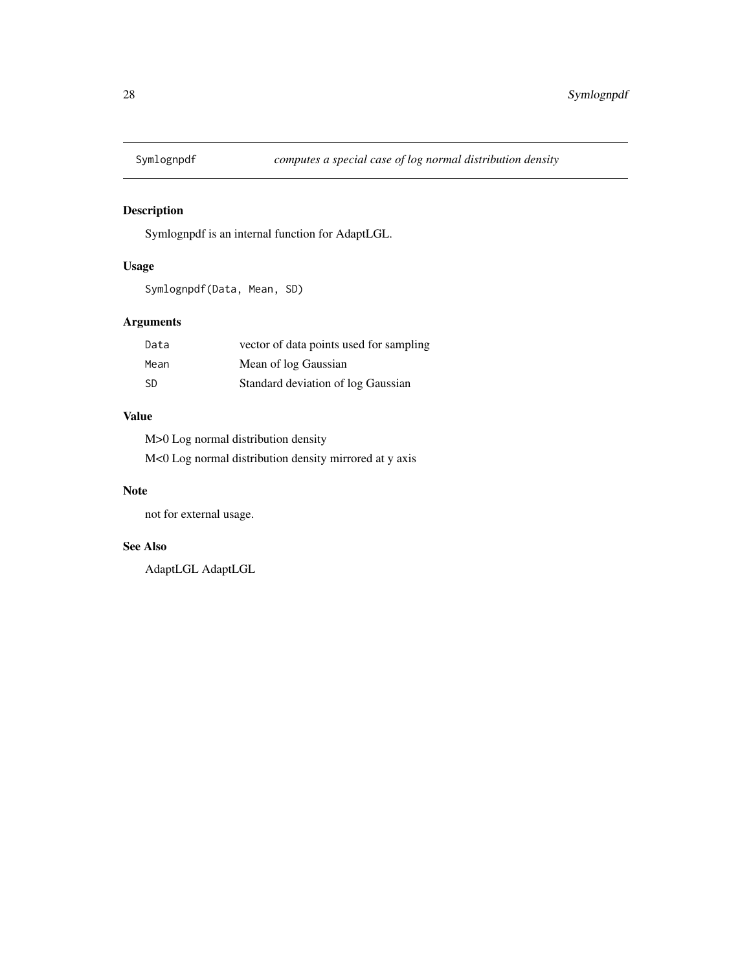<span id="page-27-0"></span>

# Description

Symlognpdf is an internal function for AdaptLGL.

# Usage

Symlognpdf(Data, Mean, SD)

# Arguments

| Data | vector of data points used for sampling |
|------|-----------------------------------------|
| Mean | Mean of log Gaussian                    |
| -SD  | Standard deviation of log Gaussian      |

# Value

M>0 Log normal distribution density M<0 Log normal distribution density mirrored at y axis

# Note

not for external usage.

# See Also

AdaptLGL AdaptLGL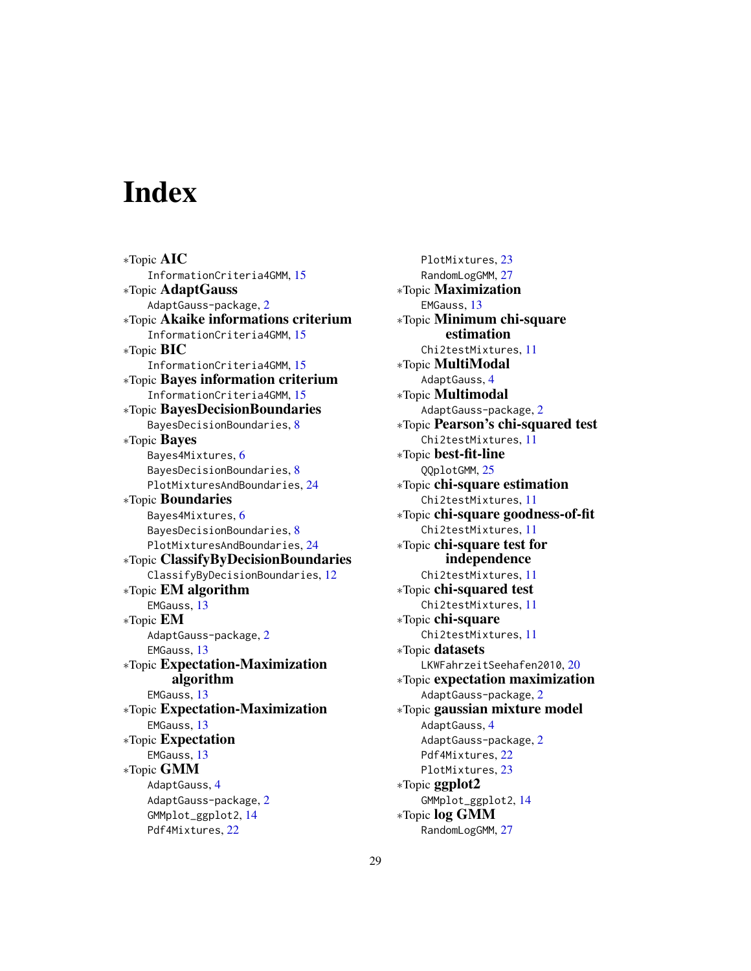# <span id="page-28-0"></span>**Index**

∗Topic AIC InformationCriteria4GMM, [15](#page-14-0) ∗Topic AdaptGauss AdaptGauss-package, [2](#page-1-0) ∗Topic Akaike informations criterium InformationCriteria4GMM, [15](#page-14-0) ∗Topic BIC InformationCriteria4GMM, [15](#page-14-0) ∗Topic Bayes information criterium InformationCriteria4GMM, [15](#page-14-0) ∗Topic BayesDecisionBoundaries BayesDecisionBoundaries, [8](#page-7-0) ∗Topic Bayes Bayes4Mixtures, [6](#page-5-0) BayesDecisionBoundaries, [8](#page-7-0) PlotMixturesAndBoundaries, [24](#page-23-0) ∗Topic Boundaries Bayes4Mixtures, [6](#page-5-0) BayesDecisionBoundaries, [8](#page-7-0) PlotMixturesAndBoundaries, [24](#page-23-0) ∗Topic ClassifyByDecisionBoundaries ClassifyByDecisionBoundaries, [12](#page-11-0) ∗Topic EM algorithm EMGauss, [13](#page-12-0) ∗Topic EM AdaptGauss-package, [2](#page-1-0) EMGauss, [13](#page-12-0) ∗Topic Expectation-Maximization algorithm EMGauss, [13](#page-12-0) ∗Topic Expectation-Maximization EMGauss, [13](#page-12-0) ∗Topic Expectation EMGauss, [13](#page-12-0) ∗Topic GMM AdaptGauss, [4](#page-3-0) AdaptGauss-package, [2](#page-1-0) GMMplot\_ggplot2, [14](#page-13-0) Pdf4Mixtures, [22](#page-21-0)

PlotMixtures, [23](#page-22-0) RandomLogGMM, [27](#page-26-0) ∗Topic Maximization EMGauss, [13](#page-12-0) ∗Topic Minimum chi-square estimation Chi2testMixtures, [11](#page-10-0) ∗Topic MultiModal AdaptGauss, [4](#page-3-0) ∗Topic Multimodal AdaptGauss-package, [2](#page-1-0) ∗Topic Pearson's chi-squared test Chi2testMixtures, [11](#page-10-0) ∗Topic best-fit-line QQplotGMM, [25](#page-24-0) ∗Topic chi-square estimation Chi2testMixtures, [11](#page-10-0) ∗Topic chi-square goodness-of-fit Chi2testMixtures, [11](#page-10-0) ∗Topic chi-square test for independence Chi2testMixtures, [11](#page-10-0) ∗Topic chi-squared test Chi2testMixtures, [11](#page-10-0) ∗Topic chi-square Chi2testMixtures, [11](#page-10-0) ∗Topic datasets LKWFahrzeitSeehafen2010, [20](#page-19-0) ∗Topic expectation maximization AdaptGauss-package, [2](#page-1-0) ∗Topic gaussian mixture model AdaptGauss, [4](#page-3-0) AdaptGauss-package, [2](#page-1-0) Pdf4Mixtures, [22](#page-21-0) PlotMixtures, [23](#page-22-0) ∗Topic ggplot2 GMMplot\_ggplot2, [14](#page-13-0) ∗Topic log GMM RandomLogGMM, [27](#page-26-0)